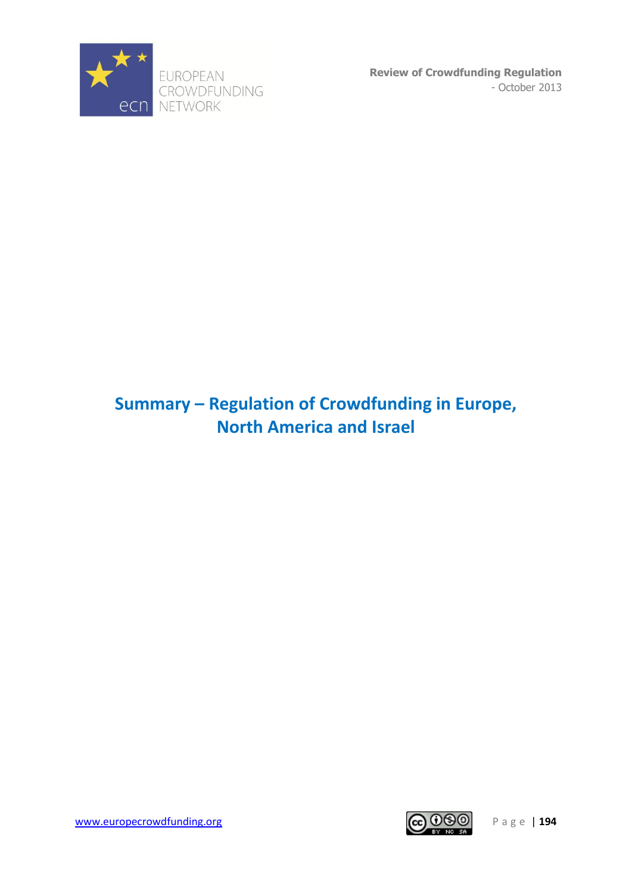

## **Summary – Regulation of Crowdfunding in Europe, North America and Israel**

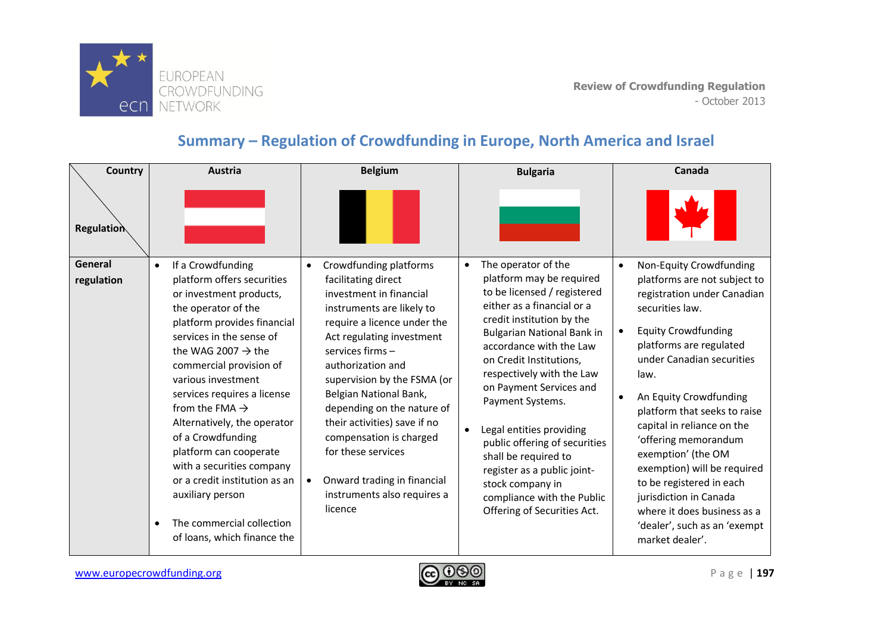

## **Summary – Regulation of Crowdfunding in Europe, North America and Israel**

| Country<br><b>Regulation</b> | <b>Austria</b>                                                                                                                                                                                                                                                                                                                                                                                                                                                                                                                                        | <b>Belgium</b>                                                                                                                                                                                                                                                                                                                                                                                                                                                                        | <b>Bulgaria</b>                                                                                                                                                                                                                                                                                                                                                                                                                                                                                                                    | Canada                                                                                                                                                                                                                                                                                                                                                                                                                                                                                                                                                      |
|------------------------------|-------------------------------------------------------------------------------------------------------------------------------------------------------------------------------------------------------------------------------------------------------------------------------------------------------------------------------------------------------------------------------------------------------------------------------------------------------------------------------------------------------------------------------------------------------|---------------------------------------------------------------------------------------------------------------------------------------------------------------------------------------------------------------------------------------------------------------------------------------------------------------------------------------------------------------------------------------------------------------------------------------------------------------------------------------|------------------------------------------------------------------------------------------------------------------------------------------------------------------------------------------------------------------------------------------------------------------------------------------------------------------------------------------------------------------------------------------------------------------------------------------------------------------------------------------------------------------------------------|-------------------------------------------------------------------------------------------------------------------------------------------------------------------------------------------------------------------------------------------------------------------------------------------------------------------------------------------------------------------------------------------------------------------------------------------------------------------------------------------------------------------------------------------------------------|
| General<br>regulation        | If a Crowdfunding<br>$\bullet$<br>platform offers securities<br>or investment products,<br>the operator of the<br>platform provides financial<br>services in the sense of<br>the WAG 2007 $\rightarrow$ the<br>commercial provision of<br>various investment<br>services requires a license<br>from the FMA $\rightarrow$<br>Alternatively, the operator<br>of a Crowdfunding<br>platform can cooperate<br>with a securities company<br>or a credit institution as an<br>auxiliary person<br>The commercial collection<br>of loans, which finance the | Crowdfunding platforms<br>$\bullet$<br>facilitating direct<br>investment in financial<br>instruments are likely to<br>require a licence under the<br>Act regulating investment<br>services firms -<br>authorization and<br>supervision by the FSMA (or<br>Belgian National Bank,<br>depending on the nature of<br>their activities) save if no<br>compensation is charged<br>for these services<br>Onward trading in financial<br>$\bullet$<br>instruments also requires a<br>licence | The operator of the<br>$\bullet$<br>platform may be required<br>to be licensed / registered<br>either as a financial or a<br>credit institution by the<br><b>Bulgarian National Bank in</b><br>accordance with the Law<br>on Credit Institutions,<br>respectively with the Law<br>on Payment Services and<br>Payment Systems.<br>Legal entities providing<br>public offering of securities<br>shall be required to<br>register as a public joint-<br>stock company in<br>compliance with the Public<br>Offering of Securities Act. | Non-Equity Crowdfunding<br>$\bullet$<br>platforms are not subject to<br>registration under Canadian<br>securities law.<br><b>Equity Crowdfunding</b><br>$\bullet$<br>platforms are regulated<br>under Canadian securities<br>law.<br>An Equity Crowdfunding<br>$\bullet$<br>platform that seeks to raise<br>capital in reliance on the<br>'offering memorandum<br>exemption' (the OM<br>exemption) will be required<br>to be registered in each<br>jurisdiction in Canada<br>where it does business as a<br>'dealer', such as an 'exempt<br>market dealer'. |

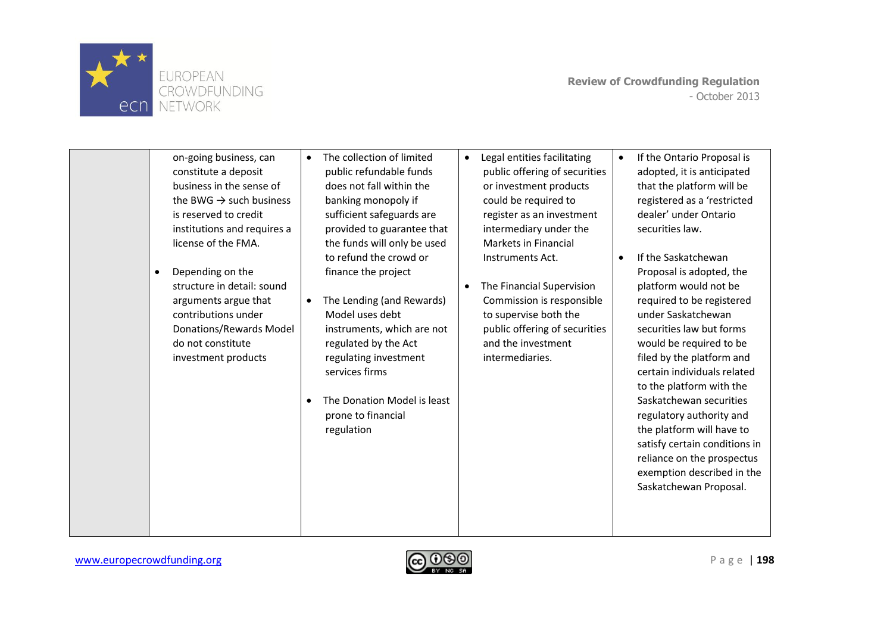

| on-going business, can<br>constitute a deposit<br>business in the sense of<br>the BWG $\rightarrow$ such business<br>is reserved to credit<br>institutions and requires a<br>license of the FMA.<br>Depending on the<br>$\bullet$<br>structure in detail: sound<br>arguments argue that<br>contributions under<br>Donations/Rewards Model<br>do not constitute<br>investment products | The collection of limited<br>$\bullet$<br>public refundable funds<br>does not fall within the<br>banking monopoly if<br>sufficient safeguards are<br>provided to guarantee that<br>the funds will only be used<br>to refund the crowd or<br>finance the project<br>The Lending (and Rewards)<br>$\bullet$<br>Model uses debt<br>instruments, which are not<br>regulated by the Act<br>regulating investment<br>services firms<br>The Donation Model is least<br>٠<br>prone to financial<br>regulation | Legal entities facilitating<br>$\bullet$<br>public offering of securities<br>or investment products<br>could be required to<br>register as an investment<br>intermediary under the<br>Markets in Financial<br>Instruments Act.<br>The Financial Supervision<br>$\bullet$<br>Commission is responsible<br>to supervise both the<br>public offering of securities<br>and the investment<br>intermediaries. | $\bullet$ | If the Ontario Proposal is<br>adopted, it is anticipated<br>that the platform will be<br>registered as a 'restricted<br>dealer' under Ontario<br>securities law.<br>If the Saskatchewan<br>Proposal is adopted, the<br>platform would not be<br>required to be registered<br>under Saskatchewan<br>securities law but forms<br>would be required to be<br>filed by the platform and<br>certain individuals related<br>to the platform with the<br>Saskatchewan securities<br>regulatory authority and<br>the platform will have to<br>satisfy certain conditions in<br>reliance on the prospectus<br>exemption described in the<br>Saskatchewan Proposal. |
|---------------------------------------------------------------------------------------------------------------------------------------------------------------------------------------------------------------------------------------------------------------------------------------------------------------------------------------------------------------------------------------|-------------------------------------------------------------------------------------------------------------------------------------------------------------------------------------------------------------------------------------------------------------------------------------------------------------------------------------------------------------------------------------------------------------------------------------------------------------------------------------------------------|----------------------------------------------------------------------------------------------------------------------------------------------------------------------------------------------------------------------------------------------------------------------------------------------------------------------------------------------------------------------------------------------------------|-----------|-----------------------------------------------------------------------------------------------------------------------------------------------------------------------------------------------------------------------------------------------------------------------------------------------------------------------------------------------------------------------------------------------------------------------------------------------------------------------------------------------------------------------------------------------------------------------------------------------------------------------------------------------------------|
|                                                                                                                                                                                                                                                                                                                                                                                       |                                                                                                                                                                                                                                                                                                                                                                                                                                                                                                       |                                                                                                                                                                                                                                                                                                                                                                                                          |           |                                                                                                                                                                                                                                                                                                                                                                                                                                                                                                                                                                                                                                                           |

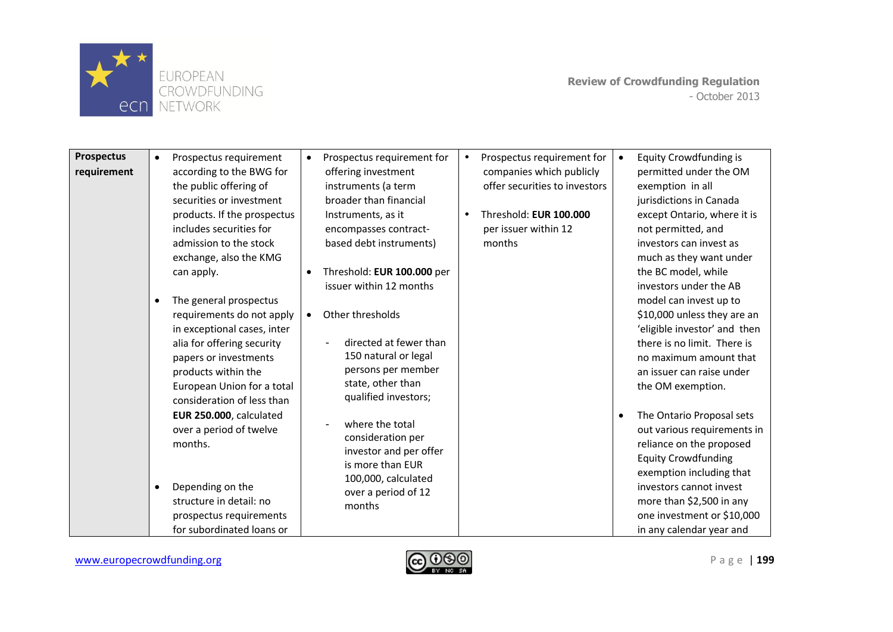

| <b>Prospectus</b><br>requirement | $\bullet$<br>٠ | Prospectus requirement<br>according to the BWG for<br>the public offering of<br>securities or investment<br>products. If the prospectus<br>includes securities for<br>admission to the stock<br>exchange, also the KMG<br>can apply.<br>The general prospectus<br>requirements do not apply<br>in exceptional cases, inter<br>alia for offering security<br>papers or investments | $\bullet$<br>$\bullet$<br>$\bullet$ | Prospectus requirement for<br>offering investment<br>instruments (a term<br>broader than financial<br>Instruments, as it<br>encompasses contract-<br>based debt instruments)<br>Threshold: EUR 100.000 per<br>issuer within 12 months<br>Other thresholds<br>directed at fewer than<br>150 natural or legal | $\bullet$<br>$\bullet$ | Prospectus requirement for<br>companies which publicly<br>offer securities to investors<br>Threshold: EUR 100.000<br>per issuer within 12<br>months | $\bullet$ | <b>Equity Crowdfunding is</b><br>permitted under the OM<br>exemption in all<br>jurisdictions in Canada<br>except Ontario, where it is<br>not permitted, and<br>investors can invest as<br>much as they want under<br>the BC model, while<br>investors under the AB<br>model can invest up to<br>\$10,000 unless they are an<br>'eligible investor' and then<br>there is no limit. There is<br>no maximum amount that |
|----------------------------------|----------------|-----------------------------------------------------------------------------------------------------------------------------------------------------------------------------------------------------------------------------------------------------------------------------------------------------------------------------------------------------------------------------------|-------------------------------------|-------------------------------------------------------------------------------------------------------------------------------------------------------------------------------------------------------------------------------------------------------------------------------------------------------------|------------------------|-----------------------------------------------------------------------------------------------------------------------------------------------------|-----------|----------------------------------------------------------------------------------------------------------------------------------------------------------------------------------------------------------------------------------------------------------------------------------------------------------------------------------------------------------------------------------------------------------------------|
|                                  |                | products within the<br>European Union for a total<br>consideration of less than<br>EUR 250.000, calculated<br>over a period of twelve<br>months.<br>Depending on the<br>structure in detail: no<br>prospectus requirements<br>for subordinated loans or                                                                                                                           |                                     | persons per member<br>state, other than<br>qualified investors;<br>where the total<br>consideration per<br>investor and per offer<br>is more than EUR<br>100,000, calculated<br>over a period of 12<br>months                                                                                               |                        |                                                                                                                                                     |           | an issuer can raise under<br>the OM exemption.<br>The Ontario Proposal sets<br>out various requirements in<br>reliance on the proposed<br><b>Equity Crowdfunding</b><br>exemption including that<br>investors cannot invest<br>more than \$2,500 in any<br>one investment or \$10,000<br>in any calendar year and                                                                                                    |

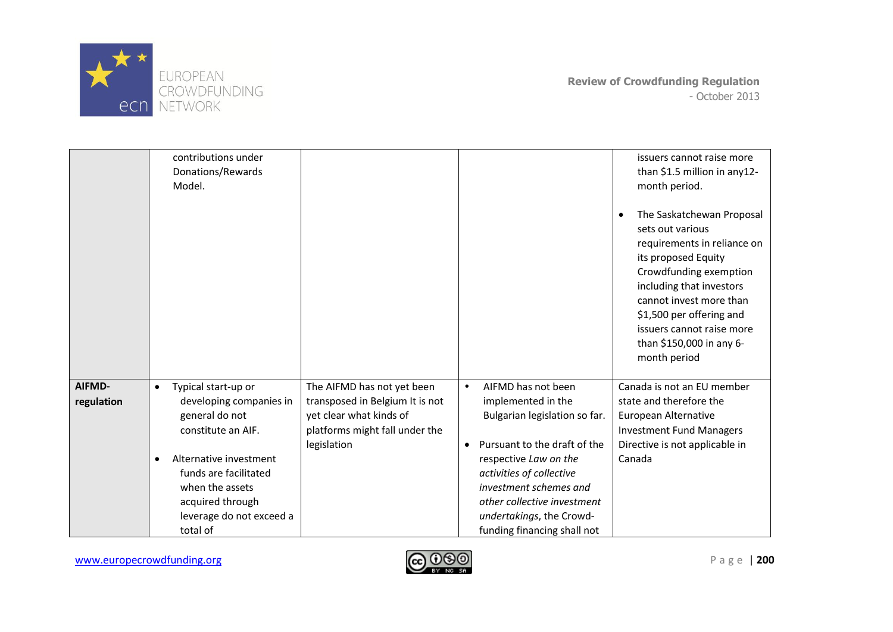

|                      | contributions under<br>Donations/Rewards<br>Model.                                                                                                                                                                                                 |                                                                                                                                           |                                                                                                                                                                                                                                                                                                      | issuers cannot raise more<br>than \$1.5 million in any12-<br>month period.<br>The Saskatchewan Proposal<br>sets out various<br>requirements in reliance on<br>its proposed Equity<br>Crowdfunding exemption<br>including that investors<br>cannot invest more than<br>\$1,500 per offering and<br>issuers cannot raise more<br>than \$150,000 in any 6-<br>month period |
|----------------------|----------------------------------------------------------------------------------------------------------------------------------------------------------------------------------------------------------------------------------------------------|-------------------------------------------------------------------------------------------------------------------------------------------|------------------------------------------------------------------------------------------------------------------------------------------------------------------------------------------------------------------------------------------------------------------------------------------------------|-------------------------------------------------------------------------------------------------------------------------------------------------------------------------------------------------------------------------------------------------------------------------------------------------------------------------------------------------------------------------|
| AIFMD-<br>regulation | Typical start-up or<br>$\bullet$<br>developing companies in<br>general do not<br>constitute an AIF.<br>Alternative investment<br>$\bullet$<br>funds are facilitated<br>when the assets<br>acquired through<br>leverage do not exceed a<br>total of | The AIFMD has not yet been<br>transposed in Belgium It is not<br>yet clear what kinds of<br>platforms might fall under the<br>legislation | AIFMD has not been<br>$\bullet$<br>implemented in the<br>Bulgarian legislation so far.<br>Pursuant to the draft of the<br>٠<br>respective Law on the<br>activities of collective<br>investment schemes and<br>other collective investment<br>undertakings, the Crowd-<br>funding financing shall not | Canada is not an EU member<br>state and therefore the<br>European Alternative<br><b>Investment Fund Managers</b><br>Directive is not applicable in<br>Canada                                                                                                                                                                                                            |

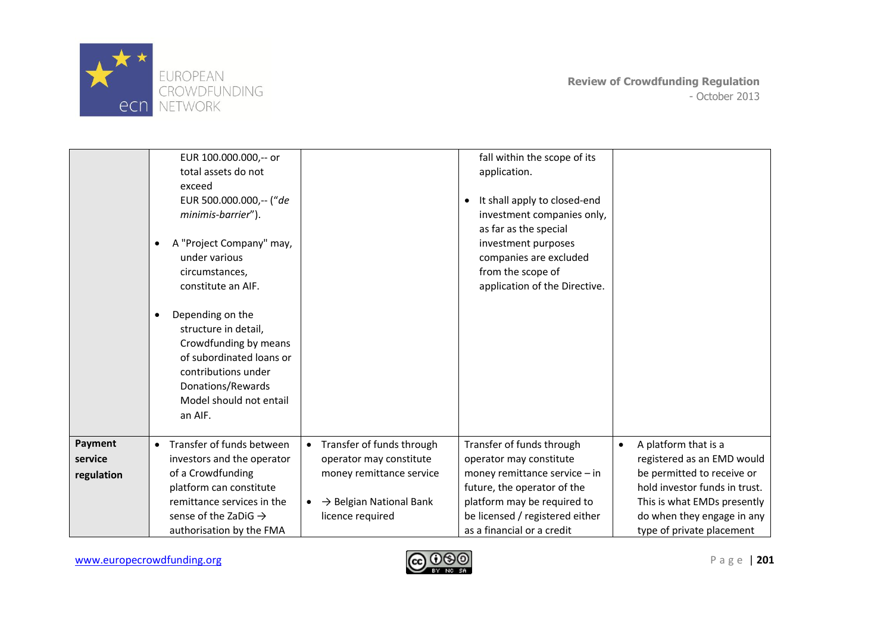

|                                  | EUR 100.000.000,-- or<br>total assets do not<br>exceed<br>EUR 500.000.000,-- ("de<br>minimis-barrier").<br>A "Project Company" may,<br>$\bullet$<br>under various<br>circumstances,<br>constitute an AIF.<br>Depending on the<br>٠<br>structure in detail,<br>Crowdfunding by means<br>of subordinated loans or<br>contributions under<br>Donations/Rewards<br>Model should not entail<br>an AIF. |                                                                                                                                                                       | fall within the scope of its<br>application.<br>It shall apply to closed-end<br>investment companies only,<br>as far as the special<br>investment purposes<br>companies are excluded<br>from the scope of<br>application of the Directive. |                                                                                                                                                                                                                          |
|----------------------------------|---------------------------------------------------------------------------------------------------------------------------------------------------------------------------------------------------------------------------------------------------------------------------------------------------------------------------------------------------------------------------------------------------|-----------------------------------------------------------------------------------------------------------------------------------------------------------------------|--------------------------------------------------------------------------------------------------------------------------------------------------------------------------------------------------------------------------------------------|--------------------------------------------------------------------------------------------------------------------------------------------------------------------------------------------------------------------------|
| Payment<br>service<br>regulation | Transfer of funds between<br>$\bullet$<br>investors and the operator<br>of a Crowdfunding<br>platform can constitute<br>remittance services in the<br>sense of the ZaDiG $\rightarrow$<br>authorisation by the FMA                                                                                                                                                                                | Transfer of funds through<br>$\bullet$<br>operator may constitute<br>money remittance service<br>$\rightarrow$ Belgian National Bank<br>$\bullet$<br>licence required | Transfer of funds through<br>operator may constitute<br>money remittance service - in<br>future, the operator of the<br>platform may be required to<br>be licensed / registered either<br>as a financial or a credit                       | A platform that is a<br>$\bullet$<br>registered as an EMD would<br>be permitted to receive or<br>hold investor funds in trust.<br>This is what EMDs presently<br>do when they engage in any<br>type of private placement |

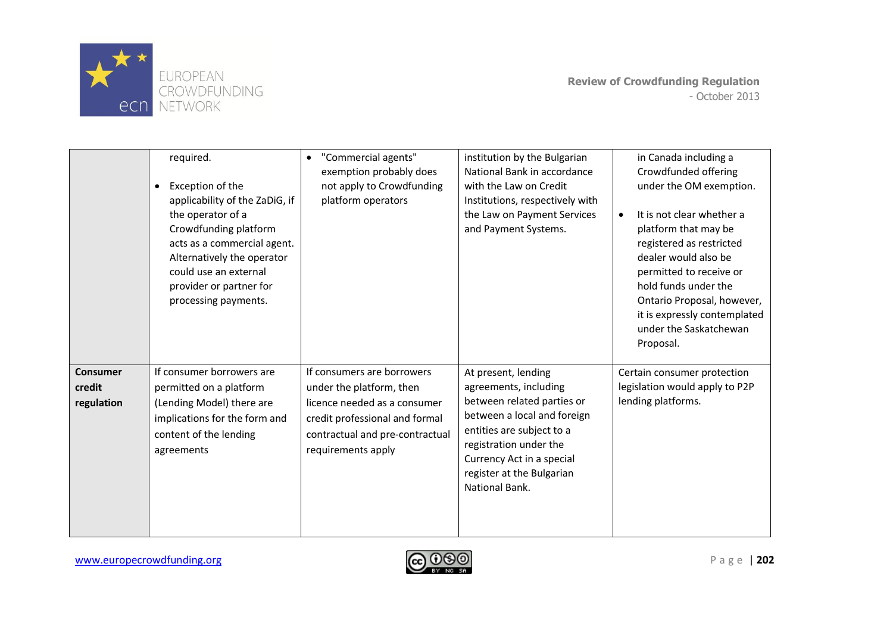

|                                         | required.<br>Exception of the<br>$\bullet$<br>applicability of the ZaDiG, if<br>the operator of a<br>Crowdfunding platform<br>acts as a commercial agent.<br>Alternatively the operator<br>could use an external<br>provider or partner for<br>processing payments. | "Commercial agents"<br>$\bullet$<br>exemption probably does<br>not apply to Crowdfunding<br>platform operators                                                                    | institution by the Bulgarian<br>National Bank in accordance<br>with the Law on Credit<br>Institutions, respectively with<br>the Law on Payment Services<br>and Payment Systems.                                                              | in Canada including a<br>Crowdfunded offering<br>under the OM exemption.<br>It is not clear whether a<br>platform that may be<br>registered as restricted<br>dealer would also be<br>permitted to receive or<br>hold funds under the<br>Ontario Proposal, however,<br>it is expressly contemplated<br>under the Saskatchewan<br>Proposal. |
|-----------------------------------------|---------------------------------------------------------------------------------------------------------------------------------------------------------------------------------------------------------------------------------------------------------------------|-----------------------------------------------------------------------------------------------------------------------------------------------------------------------------------|----------------------------------------------------------------------------------------------------------------------------------------------------------------------------------------------------------------------------------------------|-------------------------------------------------------------------------------------------------------------------------------------------------------------------------------------------------------------------------------------------------------------------------------------------------------------------------------------------|
| <b>Consumer</b><br>credit<br>regulation | If consumer borrowers are<br>permitted on a platform<br>(Lending Model) there are<br>implications for the form and<br>content of the lending<br>agreements                                                                                                          | If consumers are borrowers<br>under the platform, then<br>licence needed as a consumer<br>credit professional and formal<br>contractual and pre-contractual<br>requirements apply | At present, lending<br>agreements, including<br>between related parties or<br>between a local and foreign<br>entities are subject to a<br>registration under the<br>Currency Act in a special<br>register at the Bulgarian<br>National Bank. | Certain consumer protection<br>legislation would apply to P2P<br>lending platforms.                                                                                                                                                                                                                                                       |

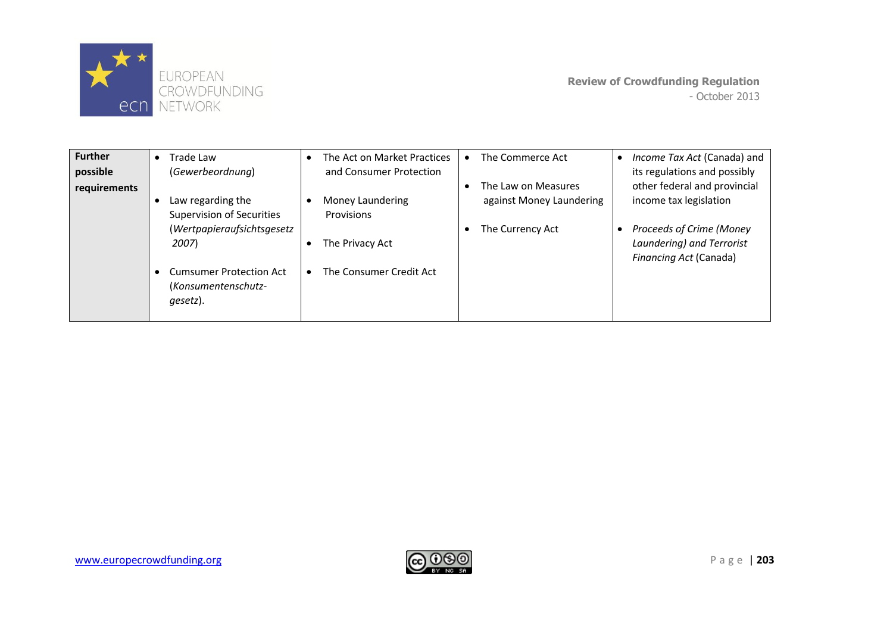

| <b>Further</b><br>possible | Trade Law<br>$\bullet$<br>(Gewerbeordnung)                        | The Act on Market Practices<br>$\bullet$<br>and Consumer Protection | The Commerce Act                                     | Income Tax Act (Canada) and<br>its regulations and possibly                     |
|----------------------------|-------------------------------------------------------------------|---------------------------------------------------------------------|------------------------------------------------------|---------------------------------------------------------------------------------|
| requirements               | Law regarding the<br>Supervision of Securities                    | Money Laundering<br>Provisions                                      | The Law on Measures<br>٠<br>against Money Laundering | other federal and provincial<br>income tax legislation                          |
|                            | (Wertpapieraufsichtsgesetz<br>2007)                               | The Privacy Act                                                     | The Currency Act<br>٠                                | Proceeds of Crime (Money<br>Laundering) and Terrorist<br>Financing Act (Canada) |
|                            | <b>Cumsumer Protection Act</b><br>(Konsumentenschutz-<br>gesetz). | The Consumer Credit Act<br>$\bullet$                                |                                                      |                                                                                 |

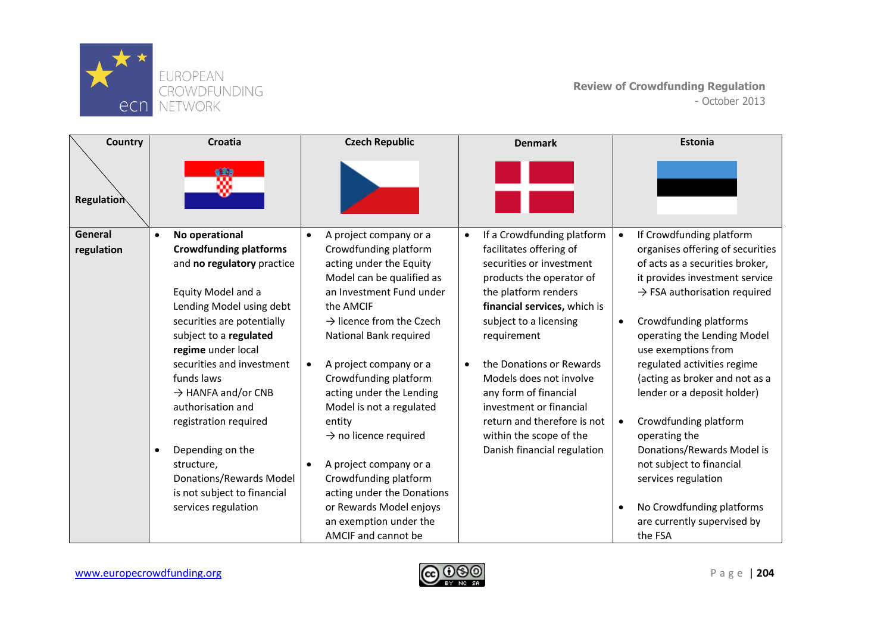

| Country<br><b>Regulation</b> |           | <b>Croatia</b>                                 |           | <b>Czech Republic</b>                       |           | <b>Denmark</b>                                         |           | Estonia                                  |
|------------------------------|-----------|------------------------------------------------|-----------|---------------------------------------------|-----------|--------------------------------------------------------|-----------|------------------------------------------|
| General                      | $\bullet$ | No operational                                 | $\bullet$ | A project company or a                      | $\bullet$ | If a Crowdfunding platform                             | $\bullet$ | If Crowdfunding platform                 |
| regulation                   |           | <b>Crowdfunding platforms</b>                  |           | Crowdfunding platform                       |           | facilitates offering of                                |           | organises offering of securities         |
|                              |           | and no regulatory practice                     |           | acting under the Equity                     |           | securities or investment                               |           | of acts as a securities broker,          |
|                              |           |                                                |           | Model can be qualified as                   |           | products the operator of                               |           | it provides investment service           |
|                              |           | Equity Model and a<br>Lending Model using debt |           | an Investment Fund under<br>the AMCIF       |           | the platform renders<br>financial services, which is   |           | $\rightarrow$ FSA authorisation required |
|                              |           | securities are potentially                     |           | $\rightarrow$ licence from the Czech        |           | subject to a licensing                                 | $\bullet$ | Crowdfunding platforms                   |
|                              |           | subject to a regulated                         |           | National Bank required                      |           | requirement                                            |           | operating the Lending Model              |
|                              |           | regime under local                             |           |                                             |           |                                                        |           | use exemptions from                      |
|                              |           | securities and investment                      | $\bullet$ | A project company or a                      | $\bullet$ | the Donations or Rewards                               |           | regulated activities regime              |
|                              |           | funds laws                                     |           | Crowdfunding platform                       |           | Models does not involve                                |           | (acting as broker and not as a           |
|                              |           | $\rightarrow$ HANFA and/or CNB                 |           | acting under the Lending                    |           | any form of financial                                  |           | lender or a deposit holder)              |
|                              |           | authorisation and                              |           | Model is not a regulated                    |           | investment or financial                                |           |                                          |
|                              |           | registration required                          |           | entity<br>$\rightarrow$ no licence required |           | return and therefore is not<br>within the scope of the | $\bullet$ | Crowdfunding platform<br>operating the   |
|                              | $\bullet$ | Depending on the                               |           |                                             |           | Danish financial regulation                            |           | Donations/Rewards Model is               |
|                              |           | structure,                                     |           | A project company or a                      |           |                                                        |           | not subject to financial                 |
|                              |           | Donations/Rewards Model                        |           | Crowdfunding platform                       |           |                                                        |           | services regulation                      |
|                              |           | is not subject to financial                    |           | acting under the Donations                  |           |                                                        |           |                                          |
|                              |           | services regulation                            |           | or Rewards Model enjoys                     |           |                                                        | $\bullet$ | No Crowdfunding platforms                |
|                              |           |                                                |           | an exemption under the                      |           |                                                        |           | are currently supervised by              |
|                              |           |                                                |           | AMCIF and cannot be                         |           |                                                        |           | the FSA                                  |

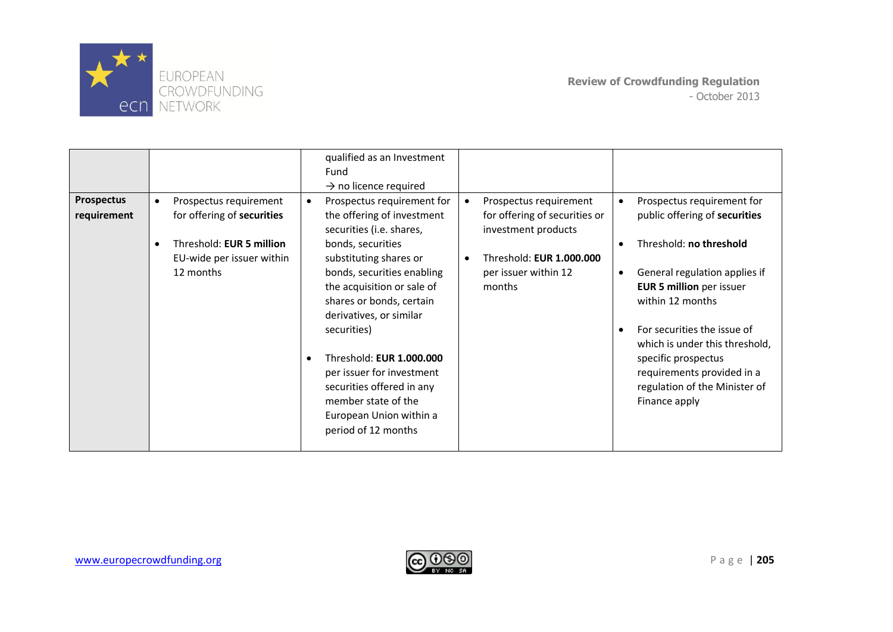

|                   |                                       | qualified as an Investment        |                               |                                                               |
|-------------------|---------------------------------------|-----------------------------------|-------------------------------|---------------------------------------------------------------|
|                   |                                       | Fund                              |                               |                                                               |
|                   |                                       | $\rightarrow$ no licence required |                               |                                                               |
| <b>Prospectus</b> | Prospectus requirement<br>$\bullet$   | Prospectus requirement for        | Prospectus requirement        | Prospectus requirement for                                    |
| requirement       | for offering of securities            | the offering of investment        | for offering of securities or | public offering of securities                                 |
|                   |                                       | securities (i.e. shares,          | investment products           |                                                               |
|                   | Threshold: EUR 5 million<br>$\bullet$ | bonds, securities                 |                               | Threshold: no threshold                                       |
|                   | EU-wide per issuer within             | substituting shares or            | Threshold: EUR 1.000.000      |                                                               |
|                   | 12 months                             | bonds, securities enabling        | per issuer within 12          | General regulation applies if<br>$\bullet$                    |
|                   |                                       | the acquisition or sale of        | months                        | <b>EUR 5 million</b> per issuer                               |
|                   |                                       | shares or bonds, certain          |                               | within 12 months                                              |
|                   |                                       | derivatives, or similar           |                               |                                                               |
|                   |                                       | securities)                       |                               | For securities the issue of<br>which is under this threshold, |
|                   |                                       | Threshold: EUR 1.000.000<br>٠     |                               | specific prospectus                                           |
|                   |                                       | per issuer for investment         |                               | requirements provided in a                                    |
|                   |                                       | securities offered in any         |                               | regulation of the Minister of                                 |
|                   |                                       | member state of the               |                               | Finance apply                                                 |
|                   |                                       | European Union within a           |                               |                                                               |
|                   |                                       | period of 12 months               |                               |                                                               |
|                   |                                       |                                   |                               |                                                               |

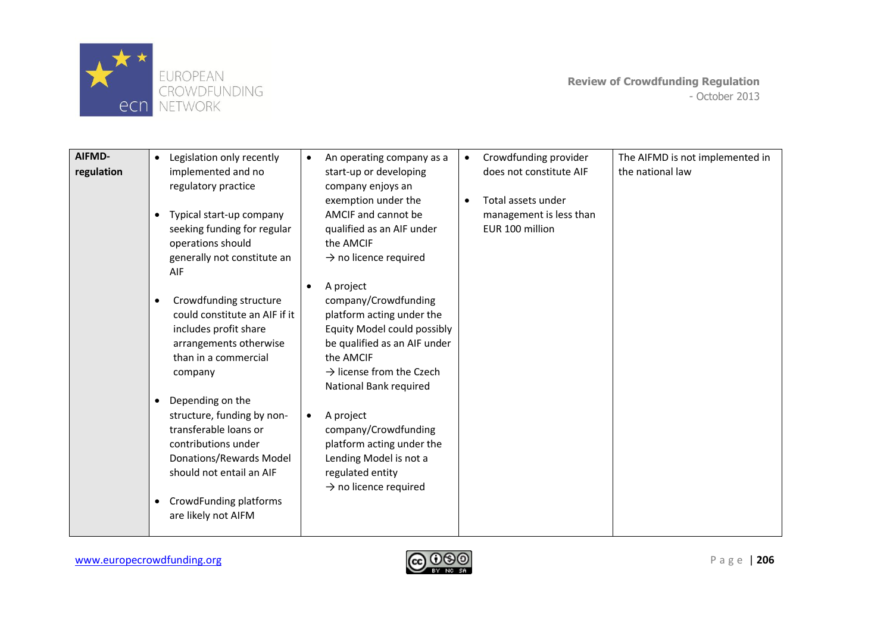

| AIFMD-     | $\bullet$ | Legislation only recently     | $\bullet$ | An operating company as a            | $\bullet$ | Crowdfunding provider   | The AIFMD is not implemented in |
|------------|-----------|-------------------------------|-----------|--------------------------------------|-----------|-------------------------|---------------------------------|
| regulation |           | implemented and no            |           | start-up or developing               |           | does not constitute AIF | the national law                |
|            |           | regulatory practice           |           | company enjoys an                    |           |                         |                                 |
|            |           |                               |           | exemption under the                  |           | Total assets under      |                                 |
|            | $\bullet$ | Typical start-up company      |           | AMCIF and cannot be                  |           | management is less than |                                 |
|            |           | seeking funding for regular   |           | qualified as an AIF under            |           | EUR 100 million         |                                 |
|            |           | operations should             |           | the AMCIF                            |           |                         |                                 |
|            |           | generally not constitute an   |           | $\rightarrow$ no licence required    |           |                         |                                 |
|            |           | AIF                           |           |                                      |           |                         |                                 |
|            |           |                               | $\bullet$ | A project                            |           |                         |                                 |
|            |           | Crowdfunding structure        |           | company/Crowdfunding                 |           |                         |                                 |
|            |           | could constitute an AIF if it |           | platform acting under the            |           |                         |                                 |
|            |           | includes profit share         |           | Equity Model could possibly          |           |                         |                                 |
|            |           | arrangements otherwise        |           | be qualified as an AIF under         |           |                         |                                 |
|            |           | than in a commercial          |           | the AMCIF                            |           |                         |                                 |
|            |           | company                       |           | $\rightarrow$ license from the Czech |           |                         |                                 |
|            |           |                               |           | National Bank required               |           |                         |                                 |
|            | $\bullet$ | Depending on the              |           |                                      |           |                         |                                 |
|            |           | structure, funding by non-    | $\bullet$ | A project                            |           |                         |                                 |
|            |           | transferable loans or         |           | company/Crowdfunding                 |           |                         |                                 |
|            |           | contributions under           |           | platform acting under the            |           |                         |                                 |
|            |           | Donations/Rewards Model       |           | Lending Model is not a               |           |                         |                                 |
|            |           | should not entail an AIF      |           | regulated entity                     |           |                         |                                 |
|            |           |                               |           | $\rightarrow$ no licence required    |           |                         |                                 |
|            | $\bullet$ | CrowdFunding platforms        |           |                                      |           |                         |                                 |
|            |           | are likely not AIFM           |           |                                      |           |                         |                                 |
|            |           |                               |           |                                      |           |                         |                                 |

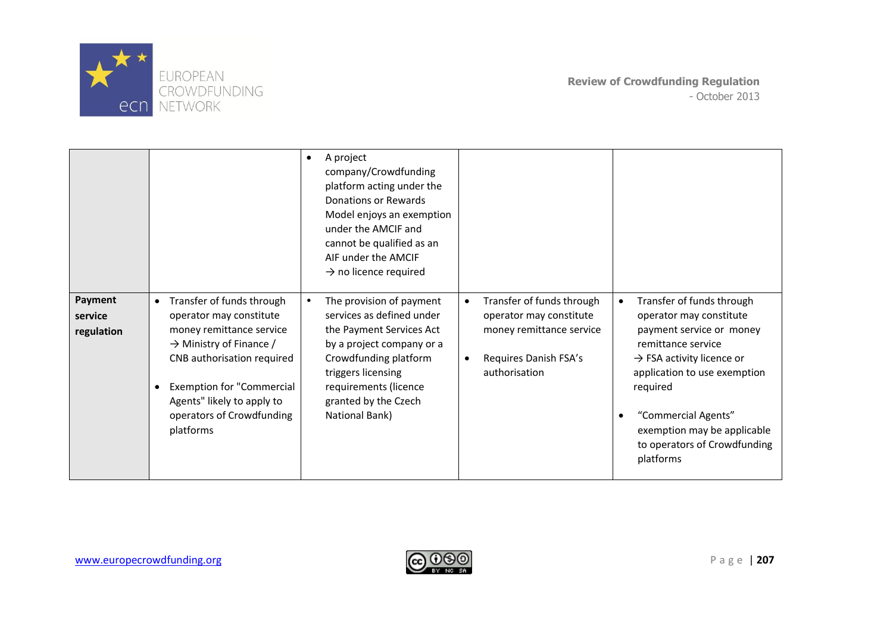

|                                  |                                                                                                                                                                                                                                                                                             | A project<br>$\bullet$<br>company/Crowdfunding<br>platform acting under the<br>Donations or Rewards<br>Model enjoys an exemption<br>under the AMCIF and<br>cannot be qualified as an<br>AIF under the AMCIF<br>$\rightarrow$ no licence required |                                                                                                                                                      |                                                                                                                                                                                                                                                                                                |
|----------------------------------|---------------------------------------------------------------------------------------------------------------------------------------------------------------------------------------------------------------------------------------------------------------------------------------------|--------------------------------------------------------------------------------------------------------------------------------------------------------------------------------------------------------------------------------------------------|------------------------------------------------------------------------------------------------------------------------------------------------------|------------------------------------------------------------------------------------------------------------------------------------------------------------------------------------------------------------------------------------------------------------------------------------------------|
| Payment<br>service<br>regulation | Transfer of funds through<br>$\bullet$<br>operator may constitute<br>money remittance service<br>$\rightarrow$ Ministry of Finance /<br>CNB authorisation required<br><b>Exemption for "Commercial</b><br>$\bullet$<br>Agents" likely to apply to<br>operators of Crowdfunding<br>platforms | The provision of payment<br>٠<br>services as defined under<br>the Payment Services Act<br>by a project company or a<br>Crowdfunding platform<br>triggers licensing<br>requirements (licence<br>granted by the Czech<br>National Bank)            | Transfer of funds through<br>$\bullet$<br>operator may constitute<br>money remittance service<br>Requires Danish FSA's<br>$\bullet$<br>authorisation | Transfer of funds through<br>operator may constitute<br>payment service or money<br>remittance service<br>$\rightarrow$ FSA activity licence or<br>application to use exemption<br>required<br>"Commercial Agents"<br>exemption may be applicable<br>to operators of Crowdfunding<br>platforms |

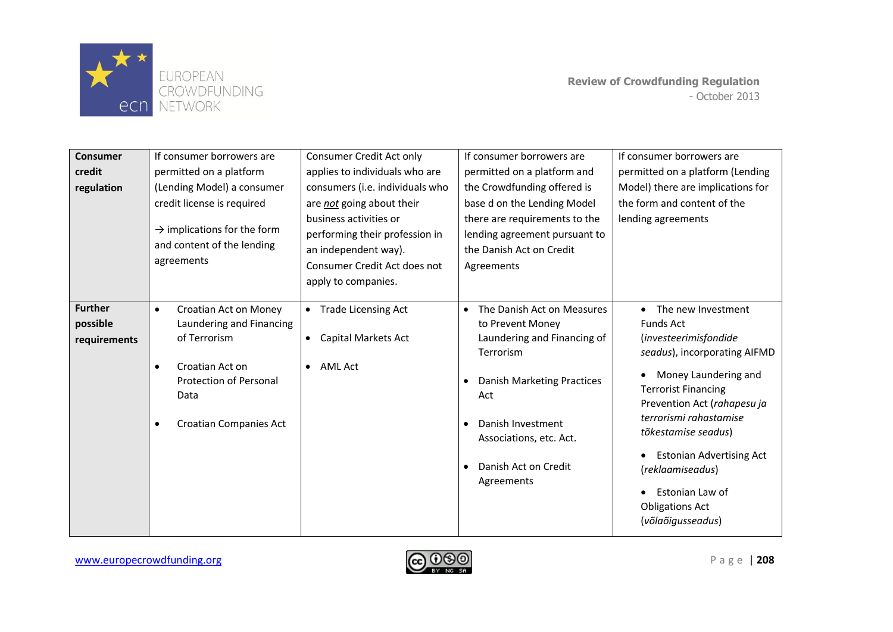

| <b>Consumer</b><br>credit<br>regulation    | If consumer borrowers are<br>permitted on a platform<br>(Lending Model) a consumer<br>credit license is required<br>$\rightarrow$ implications for the form<br>and content of the lending<br>agreements | Consumer Credit Act only<br>applies to individuals who are<br>consumers (i.e. individuals who<br>are <i>not</i> going about their<br>business activities or<br>performing their profession in<br>an independent way).<br>Consumer Credit Act does not<br>apply to companies. | If consumer borrowers are<br>permitted on a platform and<br>the Crowdfunding offered is<br>base d on the Lending Model<br>there are requirements to the<br>lending agreement pursuant to<br>the Danish Act on Credit<br>Agreements                           | If consumer borrowers are<br>permitted on a platform (Lending<br>Model) there are implications for<br>the form and content of the<br>lending agreements                                                                                                                                                                                                          |
|--------------------------------------------|---------------------------------------------------------------------------------------------------------------------------------------------------------------------------------------------------------|------------------------------------------------------------------------------------------------------------------------------------------------------------------------------------------------------------------------------------------------------------------------------|--------------------------------------------------------------------------------------------------------------------------------------------------------------------------------------------------------------------------------------------------------------|------------------------------------------------------------------------------------------------------------------------------------------------------------------------------------------------------------------------------------------------------------------------------------------------------------------------------------------------------------------|
| <b>Further</b><br>possible<br>requirements | Croatian Act on Money<br>$\bullet$<br>Laundering and Financing<br>of Terrorism<br>Croatian Act on<br>$\bullet$<br><b>Protection of Personal</b><br>Data<br><b>Croatian Companies Act</b><br>$\bullet$   | • Trade Licensing Act<br>Capital Markets Act<br><b>AML Act</b><br>$\bullet$                                                                                                                                                                                                  | The Danish Act on Measures<br>to Prevent Money<br>Laundering and Financing of<br>Terrorism<br>Danish Marketing Practices<br>$\bullet$<br>Act<br>Danish Investment<br>$\bullet$<br>Associations, etc. Act.<br>Danish Act on Credit<br>$\bullet$<br>Agreements | • The new Investment<br><b>Funds Act</b><br>(investeerimisfondide<br>seadus), incorporating AIFMD<br>Money Laundering and<br><b>Terrorist Financing</b><br>Prevention Act (rahapesu ja<br>terrorismi rahastamise<br>tõkestamise seadus)<br><b>Estonian Advertising Act</b><br>(reklaamiseadus)<br>Estonian Law of<br><b>Obligations Act</b><br>(võlaõigusseadus) |

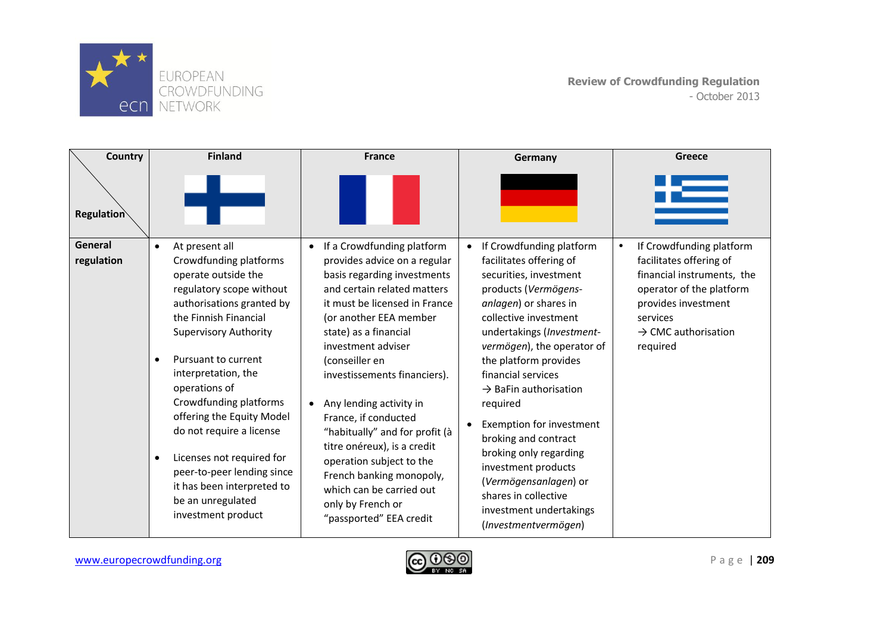

| Country           | <b>Finland</b>                                                                                                                                                                                                                                                                                                                                                                                                                                                                  | <b>France</b>                                                                                                                                                                                                                                                                                                                                                                                                                                                                                                               | Germany                                                                                                                                                                                                                                                                                                                                                                                                                                                                              | Greece                                                                                                                                                              |
|-------------------|---------------------------------------------------------------------------------------------------------------------------------------------------------------------------------------------------------------------------------------------------------------------------------------------------------------------------------------------------------------------------------------------------------------------------------------------------------------------------------|-----------------------------------------------------------------------------------------------------------------------------------------------------------------------------------------------------------------------------------------------------------------------------------------------------------------------------------------------------------------------------------------------------------------------------------------------------------------------------------------------------------------------------|--------------------------------------------------------------------------------------------------------------------------------------------------------------------------------------------------------------------------------------------------------------------------------------------------------------------------------------------------------------------------------------------------------------------------------------------------------------------------------------|---------------------------------------------------------------------------------------------------------------------------------------------------------------------|
| <b>Regulation</b> |                                                                                                                                                                                                                                                                                                                                                                                                                                                                                 |                                                                                                                                                                                                                                                                                                                                                                                                                                                                                                                             |                                                                                                                                                                                                                                                                                                                                                                                                                                                                                      |                                                                                                                                                                     |
| General           | At present all<br>$\bullet$                                                                                                                                                                                                                                                                                                                                                                                                                                                     | If a Crowdfunding platform<br>$\bullet$                                                                                                                                                                                                                                                                                                                                                                                                                                                                                     | If Crowdfunding platform<br>$\bullet$                                                                                                                                                                                                                                                                                                                                                                                                                                                | If Crowdfunding platform<br>$\bullet$                                                                                                                               |
| regulation        | Crowdfunding platforms<br>operate outside the<br>regulatory scope without<br>authorisations granted by<br>the Finnish Financial<br><b>Supervisory Authority</b><br>Pursuant to current<br>$\bullet$<br>interpretation, the<br>operations of<br>Crowdfunding platforms<br>offering the Equity Model<br>do not require a license<br>Licenses not required for<br>$\bullet$<br>peer-to-peer lending since<br>it has been interpreted to<br>be an unregulated<br>investment product | provides advice on a regular<br>basis regarding investments<br>and certain related matters<br>it must be licensed in France<br>(or another EEA member<br>state) as a financial<br>investment adviser<br>(conseiller en<br>investissements financiers).<br>Any lending activity in<br>$\bullet$<br>France, if conducted<br>"habitually" and for profit (à<br>titre onéreux), is a credit<br>operation subject to the<br>French banking monopoly,<br>which can be carried out<br>only by French or<br>"passported" EEA credit | facilitates offering of<br>securities, investment<br>products (Vermögens-<br>anlagen) or shares in<br>collective investment<br>undertakings (Investment-<br>vermögen), the operator of<br>the platform provides<br>financial services<br>$\rightarrow$ BaFin authorisation<br>required<br>Exemption for investment<br>$\bullet$<br>broking and contract<br>broking only regarding<br>investment products<br>(Vermögensanlagen) or<br>shares in collective<br>investment undertakings | facilitates offering of<br>financial instruments, the<br>operator of the platform<br>provides investment<br>services<br>$\rightarrow$ CMC authorisation<br>required |

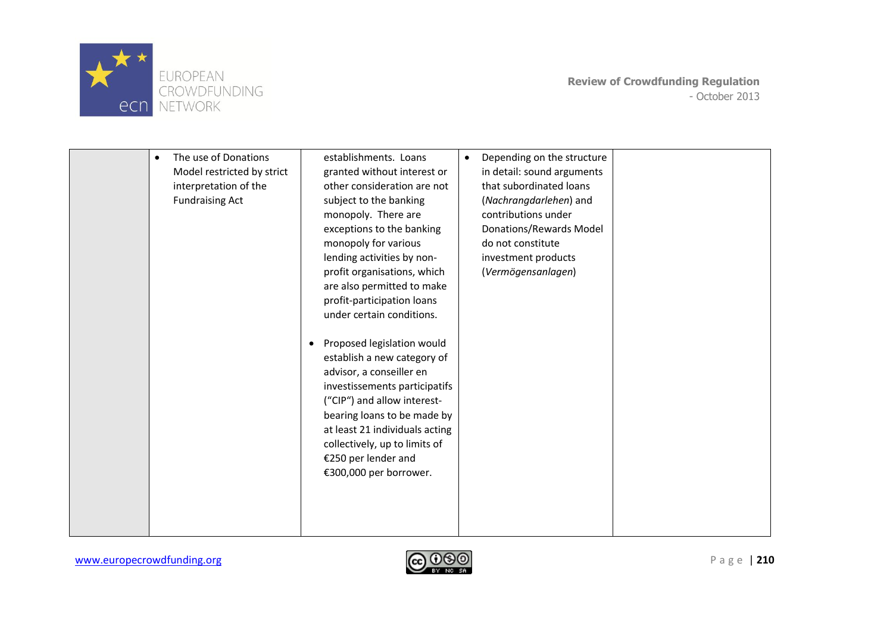

| The use of Donations<br>$\bullet$<br>Model restricted by strict<br>interpretation of the<br><b>Fundraising Act</b> | establishments. Loans<br>granted without interest or<br>other consideration are not<br>subject to the banking<br>monopoly. There are<br>exceptions to the banking<br>monopoly for various<br>lending activities by non-<br>profit organisations, which<br>are also permitted to make<br>profit-participation loans<br>under certain conditions.<br>Proposed legislation would<br>٠<br>establish a new category of<br>advisor, a conseiller en<br>investissements participatifs<br>("CIP") and allow interest-<br>bearing loans to be made by<br>at least 21 individuals acting<br>collectively, up to limits of<br>€250 per lender and<br>€300,000 per borrower. | $\bullet$ | Depending on the structure<br>in detail: sound arguments<br>that subordinated loans<br>(Nachrangdarlehen) and<br>contributions under<br>Donations/Rewards Model<br>do not constitute<br>investment products<br>(Vermögensanlagen) |  |
|--------------------------------------------------------------------------------------------------------------------|------------------------------------------------------------------------------------------------------------------------------------------------------------------------------------------------------------------------------------------------------------------------------------------------------------------------------------------------------------------------------------------------------------------------------------------------------------------------------------------------------------------------------------------------------------------------------------------------------------------------------------------------------------------|-----------|-----------------------------------------------------------------------------------------------------------------------------------------------------------------------------------------------------------------------------------|--|
|                                                                                                                    |                                                                                                                                                                                                                                                                                                                                                                                                                                                                                                                                                                                                                                                                  |           |                                                                                                                                                                                                                                   |  |

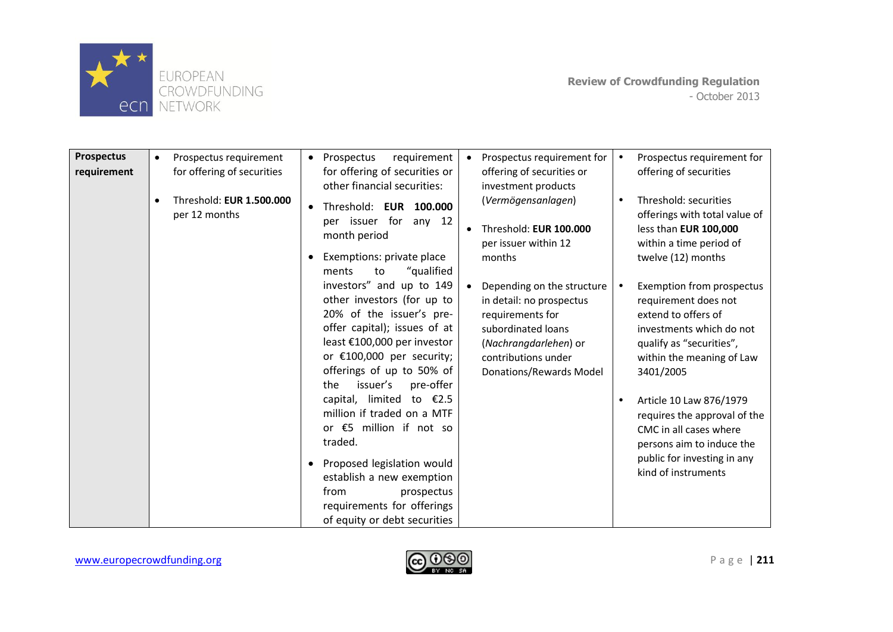

| <b>Prospectus</b><br>requirement | Prospectus requirement<br>$\bullet$<br>for offering of securities<br>Threshold: EUR 1.500.000<br>$\bullet$<br>per 12 months | Prospectus<br>requirement<br>$\bullet$<br>for offering of securities or<br>other financial securities:<br>Threshold: EUR 100.000<br>per issuer for<br>any $12$<br>month period<br>Exemptions: private place<br>"qualified<br>ments<br>to                                                                                                                                                                                                                                                               | Prospectus requirement for<br>$\bullet$<br>offering of securities or<br>investment products<br>(Vermögensanlagen)<br>Threshold: EUR 100.000<br>$\bullet$<br>per issuer within 12<br>months | Prospectus requirement for<br>offering of securities<br>Threshold: securities<br>offerings with total value of<br>less than EUR 100,000<br>within a time period of<br>twelve (12) months                                                                                                                                                           |
|----------------------------------|-----------------------------------------------------------------------------------------------------------------------------|--------------------------------------------------------------------------------------------------------------------------------------------------------------------------------------------------------------------------------------------------------------------------------------------------------------------------------------------------------------------------------------------------------------------------------------------------------------------------------------------------------|--------------------------------------------------------------------------------------------------------------------------------------------------------------------------------------------|----------------------------------------------------------------------------------------------------------------------------------------------------------------------------------------------------------------------------------------------------------------------------------------------------------------------------------------------------|
|                                  |                                                                                                                             | investors" and up to 149<br>other investors (for up to<br>20% of the issuer's pre-<br>offer capital); issues of at<br>least €100,000 per investor<br>or $£100,000$ per security;<br>offerings of up to 50% of<br>issuer's<br>pre-offer<br>the<br>capital, limited to $\epsilon$ 2.5<br>million if traded on a MTF<br>or €5 million if not so<br>traded.<br>Proposed legislation would<br>establish a new exemption<br>from<br>prospectus<br>requirements for offerings<br>of equity or debt securities | Depending on the structure<br>$\bullet$<br>in detail: no prospectus<br>requirements for<br>subordinated loans<br>(Nachrangdarlehen) or<br>contributions under<br>Donations/Rewards Model   | Exemption from prospectus<br>requirement does not<br>extend to offers of<br>investments which do not<br>qualify as "securities",<br>within the meaning of Law<br>3401/2005<br>Article 10 Law 876/1979<br>requires the approval of the<br>CMC in all cases where<br>persons aim to induce the<br>public for investing in any<br>kind of instruments |

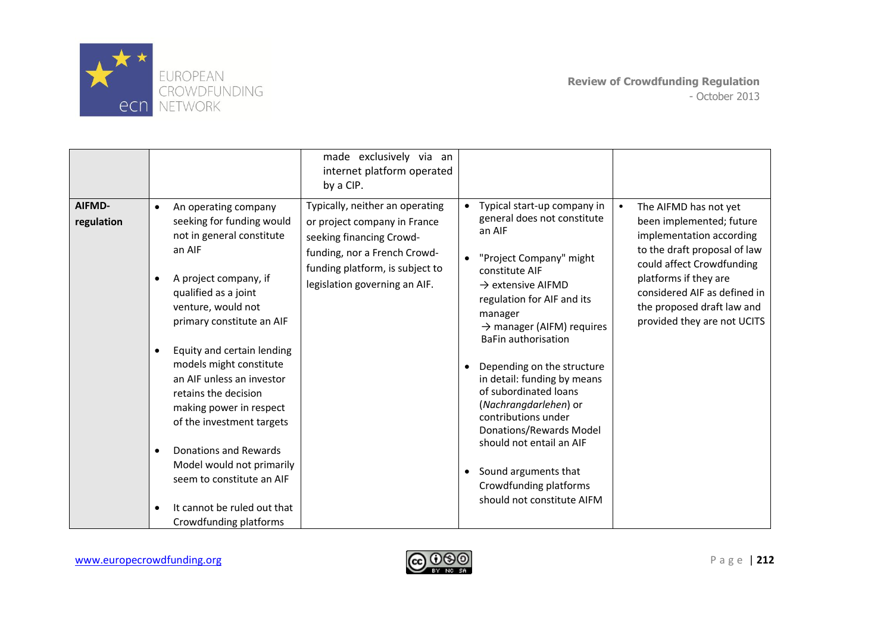

|                      |                                                                                                                                                                                                                                                                                                                                                                                                                                                                                                                                                                                 | made exclusively via an<br>internet platform operated<br>by a CIP.                                                                                                                              |                                                                                                                                                                                                                                                                                                                                                                                                                                                                                                                                                                           |                                                                                                                                                                                                                                                                  |
|----------------------|---------------------------------------------------------------------------------------------------------------------------------------------------------------------------------------------------------------------------------------------------------------------------------------------------------------------------------------------------------------------------------------------------------------------------------------------------------------------------------------------------------------------------------------------------------------------------------|-------------------------------------------------------------------------------------------------------------------------------------------------------------------------------------------------|---------------------------------------------------------------------------------------------------------------------------------------------------------------------------------------------------------------------------------------------------------------------------------------------------------------------------------------------------------------------------------------------------------------------------------------------------------------------------------------------------------------------------------------------------------------------------|------------------------------------------------------------------------------------------------------------------------------------------------------------------------------------------------------------------------------------------------------------------|
| AIFMD-<br>regulation | An operating company<br>$\bullet$<br>seeking for funding would<br>not in general constitute<br>an AIF<br>A project company, if<br>$\bullet$<br>qualified as a joint<br>venture, would not<br>primary constitute an AIF<br>Equity and certain lending<br>$\bullet$<br>models might constitute<br>an AIF unless an investor<br>retains the decision<br>making power in respect<br>of the investment targets<br>Donations and Rewards<br>$\bullet$<br>Model would not primarily<br>seem to constitute an AIF<br>It cannot be ruled out that<br>$\bullet$<br>Crowdfunding platforms | Typically, neither an operating<br>or project company in France<br>seeking financing Crowd-<br>funding, nor a French Crowd-<br>funding platform, is subject to<br>legislation governing an AIF. | Typical start-up company in<br>$\bullet$<br>general does not constitute<br>an AIF<br>"Project Company" might<br>$\bullet$<br>constitute AIF<br>$\rightarrow$ extensive AIFMD<br>regulation for AIF and its<br>manager<br>$\rightarrow$ manager (AIFM) requires<br><b>BaFin authorisation</b><br>Depending on the structure<br>in detail: funding by means<br>of subordinated loans<br>(Nachrangdarlehen) or<br>contributions under<br>Donations/Rewards Model<br>should not entail an AIF<br>Sound arguments that<br>Crowdfunding platforms<br>should not constitute AIFM | The AIFMD has not yet<br>been implemented; future<br>implementation according<br>to the draft proposal of law<br>could affect Crowdfunding<br>platforms if they are<br>considered AIF as defined in<br>the proposed draft law and<br>provided they are not UCITS |

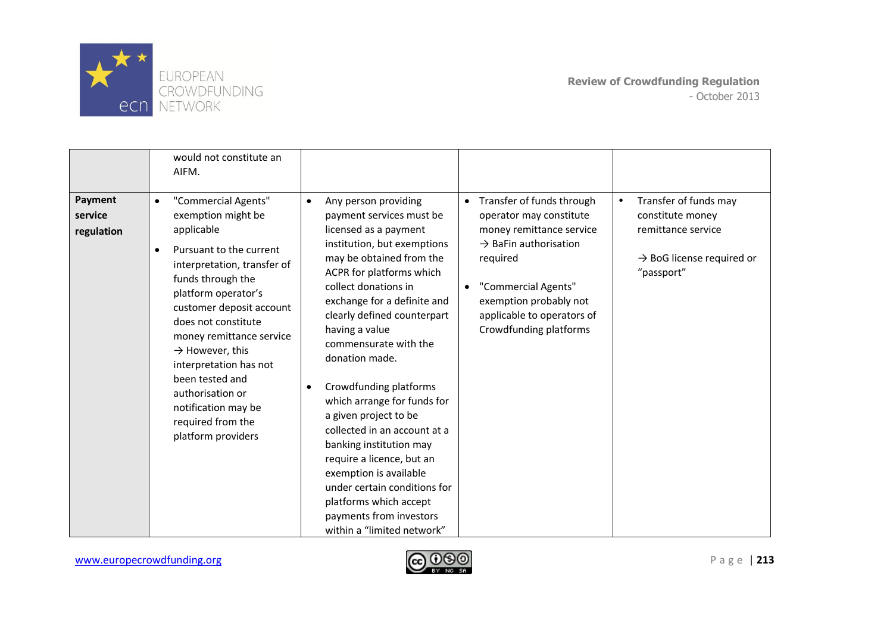

|                                  | would not constitute an<br>AIFM.                                                                                                                                                                                                                                                                                                                                                                                                         |                                                                                                                                                                                                                                                                                                                                                                                                                                                                                                                                                                                                                                                                      |                                                                                                                                                                                                                                                           |                                                                                                                                     |
|----------------------------------|------------------------------------------------------------------------------------------------------------------------------------------------------------------------------------------------------------------------------------------------------------------------------------------------------------------------------------------------------------------------------------------------------------------------------------------|----------------------------------------------------------------------------------------------------------------------------------------------------------------------------------------------------------------------------------------------------------------------------------------------------------------------------------------------------------------------------------------------------------------------------------------------------------------------------------------------------------------------------------------------------------------------------------------------------------------------------------------------------------------------|-----------------------------------------------------------------------------------------------------------------------------------------------------------------------------------------------------------------------------------------------------------|-------------------------------------------------------------------------------------------------------------------------------------|
| Payment<br>service<br>regulation | "Commercial Agents"<br>$\bullet$<br>exemption might be<br>applicable<br>Pursuant to the current<br>$\bullet$<br>interpretation, transfer of<br>funds through the<br>platform operator's<br>customer deposit account<br>does not constitute<br>money remittance service<br>$\rightarrow$ However, this<br>interpretation has not<br>been tested and<br>authorisation or<br>notification may be<br>required from the<br>platform providers | Any person providing<br>$\bullet$<br>payment services must be<br>licensed as a payment<br>institution, but exemptions<br>may be obtained from the<br>ACPR for platforms which<br>collect donations in<br>exchange for a definite and<br>clearly defined counterpart<br>having a value<br>commensurate with the<br>donation made.<br>Crowdfunding platforms<br>$\bullet$<br>which arrange for funds for<br>a given project to be<br>collected in an account at a<br>banking institution may<br>require a licence, but an<br>exemption is available<br>under certain conditions for<br>platforms which accept<br>payments from investors<br>within a "limited network" | • Transfer of funds through<br>operator may constitute<br>money remittance service<br>$\rightarrow$ BaFin authorisation<br>required<br>"Commercial Agents"<br>$\bullet$<br>exemption probably not<br>applicable to operators of<br>Crowdfunding platforms | Transfer of funds may<br>$\bullet$<br>constitute money<br>remittance service<br>$\rightarrow$ BoG license required or<br>"passport" |

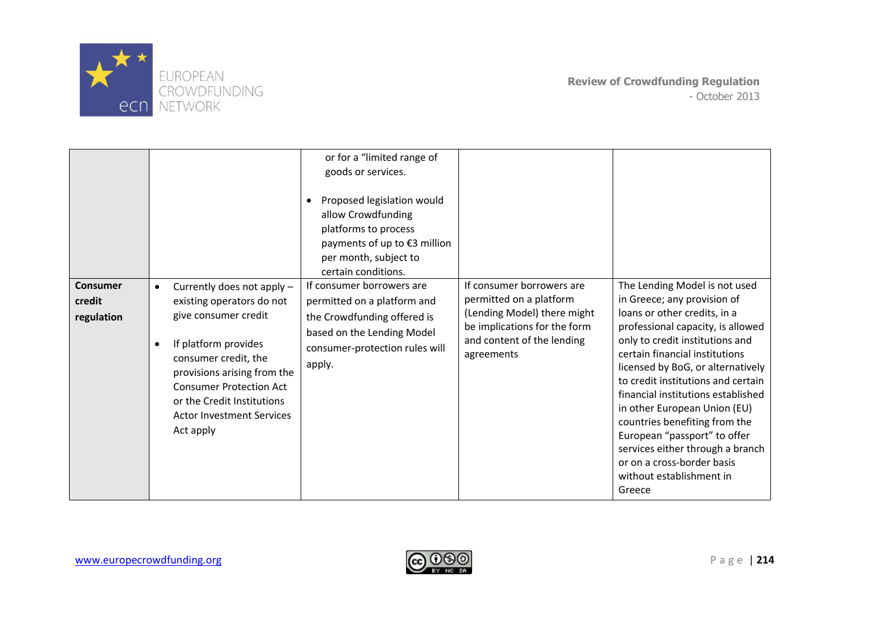

|                                  |                                                                                                                                                                                                                                                                                                           | or for a "limited range of<br>goods or services.<br>Proposed legislation would<br>$\bullet$<br>allow Crowdfunding<br>platforms to process<br>payments of up to €3 million<br>per month, subject to<br>certain conditions. |                                                                                                                                                                 |                                                                                                                                                                                                                                                                                                                                                                                                                                                                                                                                  |
|----------------------------------|-----------------------------------------------------------------------------------------------------------------------------------------------------------------------------------------------------------------------------------------------------------------------------------------------------------|---------------------------------------------------------------------------------------------------------------------------------------------------------------------------------------------------------------------------|-----------------------------------------------------------------------------------------------------------------------------------------------------------------|----------------------------------------------------------------------------------------------------------------------------------------------------------------------------------------------------------------------------------------------------------------------------------------------------------------------------------------------------------------------------------------------------------------------------------------------------------------------------------------------------------------------------------|
| Consumer<br>credit<br>regulation | Currently does not apply -<br>$\bullet$<br>existing operators do not<br>give consumer credit<br>If platform provides<br>$\bullet$<br>consumer credit, the<br>provisions arising from the<br><b>Consumer Protection Act</b><br>or the Credit Institutions<br><b>Actor Investment Services</b><br>Act apply | If consumer borrowers are<br>permitted on a platform and<br>the Crowdfunding offered is<br>based on the Lending Model<br>consumer-protection rules will<br>apply.                                                         | If consumer borrowers are<br>permitted on a platform<br>(Lending Model) there might<br>be implications for the form<br>and content of the lending<br>agreements | The Lending Model is not used<br>in Greece; any provision of<br>loans or other credits, in a<br>professional capacity, is allowed<br>only to credit institutions and<br>certain financial institutions<br>licensed by BoG, or alternatively<br>to credit institutions and certain<br>financial institutions established<br>in other European Union (EU)<br>countries benefiting from the<br>European "passport" to offer<br>services either through a branch<br>or on a cross-border basis<br>without establishment in<br>Greece |

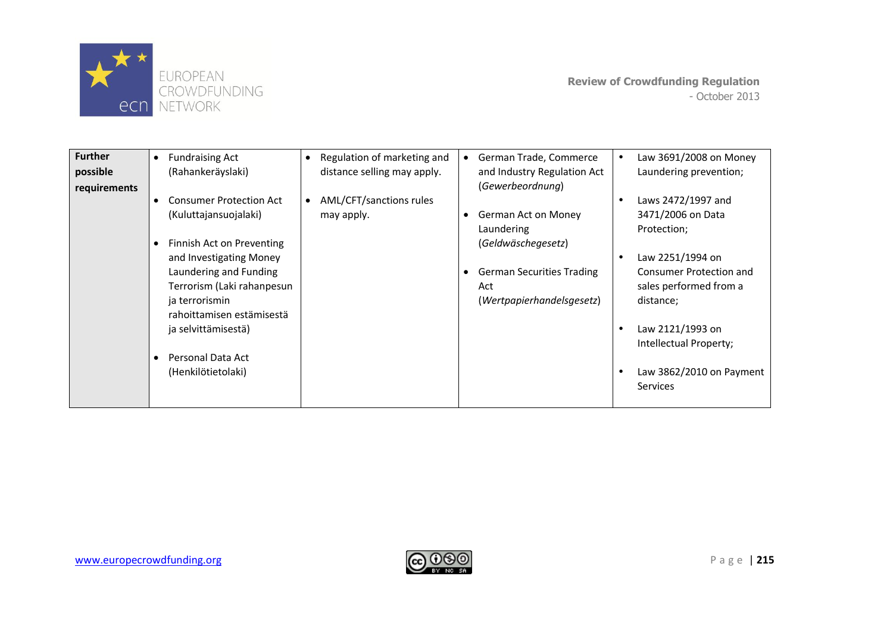

| <b>Further</b><br>possible<br>requirements | <b>Fundraising Act</b><br>$\bullet$<br>(Rahankeräyslaki) | Regulation of marketing and<br>$\bullet$<br>distance selling may apply. | German Trade, Commerce<br>and Industry Regulation Act<br>(Gewerbeordnung) | Law 3691/2008 on Money<br>Laundering prevention;  |
|--------------------------------------------|----------------------------------------------------------|-------------------------------------------------------------------------|---------------------------------------------------------------------------|---------------------------------------------------|
|                                            | <b>Consumer Protection Act</b><br>(Kuluttajansuojalaki)  | AML/CFT/sanctions rules<br>may apply.                                   | German Act on Money                                                       | Laws 2472/1997 and<br>3471/2006 on Data           |
|                                            |                                                          |                                                                         | Laundering                                                                | Protection;                                       |
|                                            | Finnish Act on Preventing<br>and Investigating Money     |                                                                         | (Geldwäschegesetz)                                                        | Law 2251/1994 on                                  |
|                                            | Laundering and Funding<br>Terrorism (Laki rahanpesun     |                                                                         | <b>German Securities Trading</b><br>Act                                   | Consumer Protection and<br>sales performed from a |
|                                            | ja terrorismin<br>rahoittamisen estämisestä              |                                                                         | (Wertpapierhandelsgesetz)                                                 | distance;                                         |
|                                            | ja selvittämisestä)                                      |                                                                         |                                                                           | Law 2121/1993 on<br>Intellectual Property;        |
|                                            | Personal Data Act<br>(Henkilötietolaki)                  |                                                                         |                                                                           | Law 3862/2010 on Payment<br><b>Services</b>       |

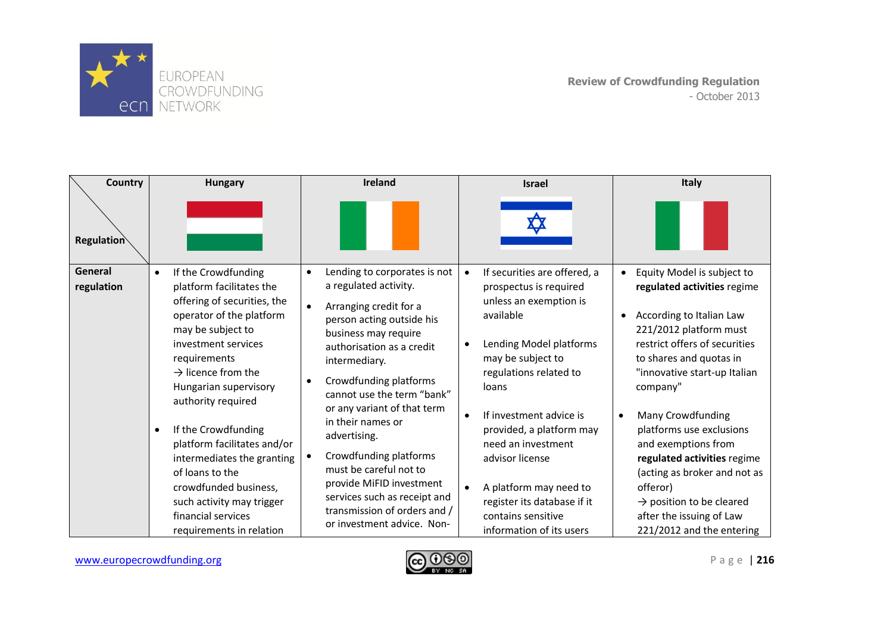

| <b>Country</b>        | <b>Hungary</b>                                                                                                                                                                                                                                                                                                                                                                                                                                                                                   | Ireland                                                                                                                                                                                                                                                                                                                                                                                                                                                                                                                             | <b>Israel</b>                                                                                                                                                                                                                                                                                                                                                                                                                      | <b>Italy</b>                                                                                                                                                                                                                                                                                                                                                                                                                                                                             |
|-----------------------|--------------------------------------------------------------------------------------------------------------------------------------------------------------------------------------------------------------------------------------------------------------------------------------------------------------------------------------------------------------------------------------------------------------------------------------------------------------------------------------------------|-------------------------------------------------------------------------------------------------------------------------------------------------------------------------------------------------------------------------------------------------------------------------------------------------------------------------------------------------------------------------------------------------------------------------------------------------------------------------------------------------------------------------------------|------------------------------------------------------------------------------------------------------------------------------------------------------------------------------------------------------------------------------------------------------------------------------------------------------------------------------------------------------------------------------------------------------------------------------------|------------------------------------------------------------------------------------------------------------------------------------------------------------------------------------------------------------------------------------------------------------------------------------------------------------------------------------------------------------------------------------------------------------------------------------------------------------------------------------------|
| <b>Regulation</b>     |                                                                                                                                                                                                                                                                                                                                                                                                                                                                                                  |                                                                                                                                                                                                                                                                                                                                                                                                                                                                                                                                     |                                                                                                                                                                                                                                                                                                                                                                                                                                    |                                                                                                                                                                                                                                                                                                                                                                                                                                                                                          |
| General<br>regulation | If the Crowdfunding<br>$\bullet$<br>platform facilitates the<br>offering of securities, the<br>operator of the platform<br>may be subject to<br>investment services<br>requirements<br>$\rightarrow$ licence from the<br>Hungarian supervisory<br>authority required<br>If the Crowdfunding<br>$\bullet$<br>platform facilitates and/or<br>intermediates the granting<br>of loans to the<br>crowdfunded business,<br>such activity may trigger<br>financial services<br>requirements in relation | Lending to corporates is not<br>$\bullet$<br>a regulated activity.<br>Arranging credit for a<br>$\bullet$<br>person acting outside his<br>business may require<br>authorisation as a credit<br>intermediary.<br>Crowdfunding platforms<br>$\bullet$<br>cannot use the term "bank"<br>or any variant of that term<br>in their names or<br>advertising.<br>Crowdfunding platforms<br>must be careful not to<br>provide MiFID investment<br>services such as receipt and<br>transmission of orders and /<br>or investment advice. Non- | If securities are offered, a<br>$\bullet$<br>prospectus is required<br>unless an exemption is<br>available<br>Lending Model platforms<br>may be subject to<br>regulations related to<br>loans<br>If investment advice is<br>$\bullet$<br>provided, a platform may<br>need an investment<br>advisor license<br>A platform may need to<br>$\bullet$<br>register its database if it<br>contains sensitive<br>information of its users | Equity Model is subject to<br>regulated activities regime<br>According to Italian Law<br>221/2012 platform must<br>restrict offers of securities<br>to shares and quotas in<br>"innovative start-up Italian<br>company"<br>Many Crowdfunding<br>$\bullet$<br>platforms use exclusions<br>and exemptions from<br>regulated activities regime<br>(acting as broker and not as<br>offeror)<br>$\rightarrow$ position to be cleared<br>after the issuing of Law<br>221/2012 and the entering |

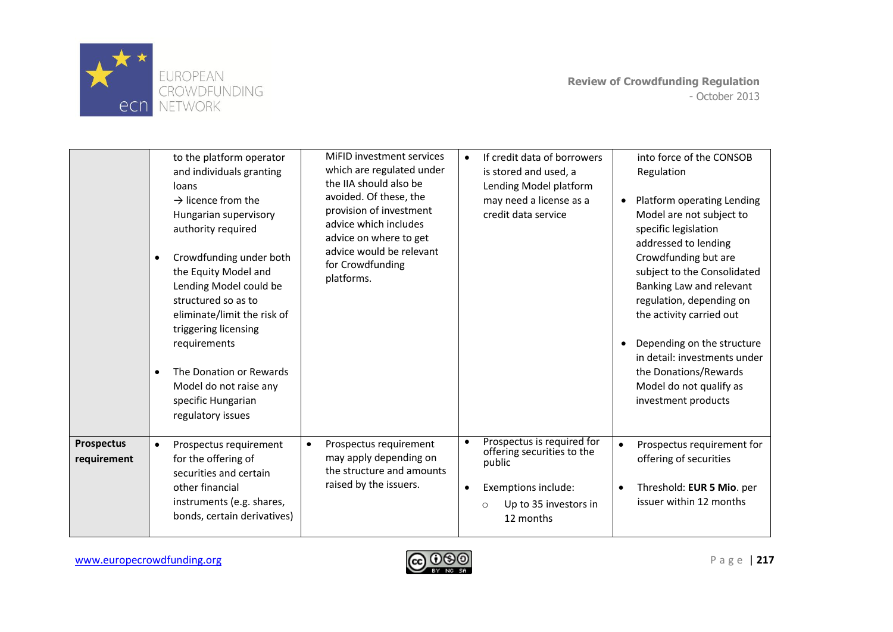

|                           | to the platform operator<br>and individuals granting<br>loans<br>$\rightarrow$ licence from the<br>Hungarian supervisory<br>authority required<br>Crowdfunding under both<br>٠<br>the Equity Model and<br>Lending Model could be<br>structured so as to<br>eliminate/limit the risk of<br>triggering licensing<br>requirements<br>The Donation or Rewards<br>$\bullet$<br>Model do not raise any<br>specific Hungarian<br>regulatory issues | MiFID investment services<br>which are regulated under<br>the IIA should also be<br>avoided. Of these, the<br>provision of investment<br>advice which includes<br>advice on where to get<br>advice would be relevant<br>for Crowdfunding<br>platforms. | If credit data of borrowers<br>$\bullet$<br>is stored and used, a<br>Lending Model platform<br>may need a license as a<br>credit data service                        | into force of the CONSOB<br>Regulation<br>Platform operating Lending<br>Model are not subject to<br>specific legislation<br>addressed to lending<br>Crowdfunding but are<br>subject to the Consolidated<br>Banking Law and relevant<br>regulation, depending on<br>the activity carried out<br>Depending on the structure<br>in detail: investments under<br>the Donations/Rewards<br>Model do not qualify as<br>investment products |
|---------------------------|---------------------------------------------------------------------------------------------------------------------------------------------------------------------------------------------------------------------------------------------------------------------------------------------------------------------------------------------------------------------------------------------------------------------------------------------|--------------------------------------------------------------------------------------------------------------------------------------------------------------------------------------------------------------------------------------------------------|----------------------------------------------------------------------------------------------------------------------------------------------------------------------|--------------------------------------------------------------------------------------------------------------------------------------------------------------------------------------------------------------------------------------------------------------------------------------------------------------------------------------------------------------------------------------------------------------------------------------|
| Prospectus<br>requirement | Prospectus requirement<br>$\bullet$<br>for the offering of<br>securities and certain<br>other financial<br>instruments (e.g. shares,<br>bonds, certain derivatives)                                                                                                                                                                                                                                                                         | Prospectus requirement<br>$\bullet$<br>may apply depending on<br>the structure and amounts<br>raised by the issuers.                                                                                                                                   | Prospectus is required for<br>$\bullet$<br>offering securities to the<br>public<br>Exemptions include:<br>$\bullet$<br>Up to 35 investors in<br>$\circ$<br>12 months | Prospectus requirement for<br>offering of securities<br>Threshold: EUR 5 Mio. per<br>issuer within 12 months                                                                                                                                                                                                                                                                                                                         |

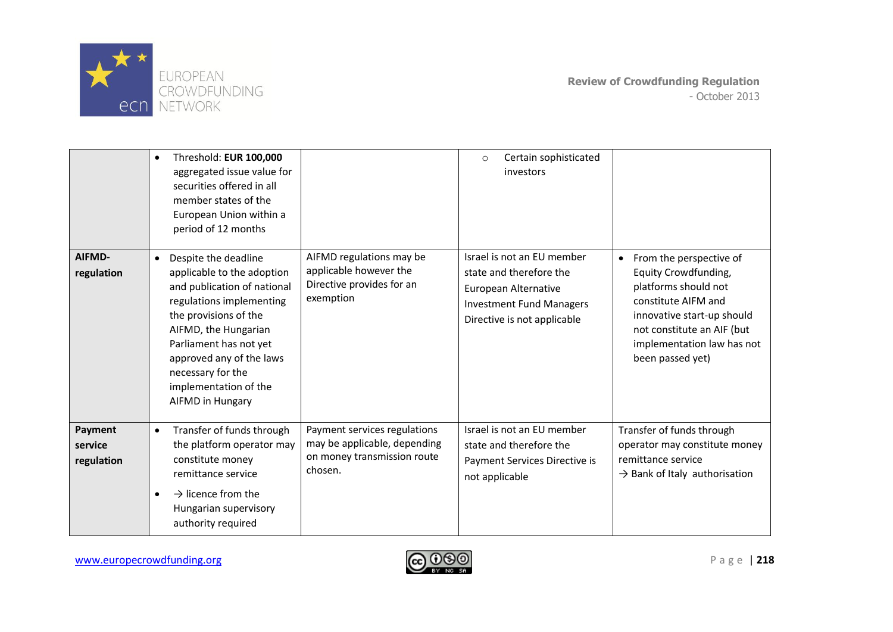

|                                  | Threshold: EUR 100,000<br>$\bullet$<br>aggregated issue value for<br>securities offered in all<br>member states of the<br>European Union within a<br>period of 12 months                                                                                                                                   |                                                                                                        | Certain sophisticated<br>$\circ$<br>investors                                                                                                          |                                                                                                                                                                                                                           |
|----------------------------------|------------------------------------------------------------------------------------------------------------------------------------------------------------------------------------------------------------------------------------------------------------------------------------------------------------|--------------------------------------------------------------------------------------------------------|--------------------------------------------------------------------------------------------------------------------------------------------------------|---------------------------------------------------------------------------------------------------------------------------------------------------------------------------------------------------------------------------|
| AIFMD-<br>regulation             | Despite the deadline<br>$\bullet$<br>applicable to the adoption<br>and publication of national<br>regulations implementing<br>the provisions of the<br>AIFMD, the Hungarian<br>Parliament has not yet<br>approved any of the laws<br>necessary for the<br>implementation of the<br><b>AIFMD in Hungary</b> | AIFMD regulations may be<br>applicable however the<br>Directive provides for an<br>exemption           | Israel is not an EU member<br>state and therefore the<br><b>European Alternative</b><br><b>Investment Fund Managers</b><br>Directive is not applicable | From the perspective of<br>$\bullet$<br>Equity Crowdfunding,<br>platforms should not<br>constitute AIFM and<br>innovative start-up should<br>not constitute an AIF (but<br>implementation law has not<br>been passed yet) |
| Payment<br>service<br>regulation | Transfer of funds through<br>$\bullet$<br>the platform operator may<br>constitute money<br>remittance service<br>$\rightarrow$ licence from the<br>$\bullet$<br>Hungarian supervisory<br>authority required                                                                                                | Payment services regulations<br>may be applicable, depending<br>on money transmission route<br>chosen. | Israel is not an EU member<br>state and therefore the<br>Payment Services Directive is<br>not applicable                                               | Transfer of funds through<br>operator may constitute money<br>remittance service<br>$\rightarrow$ Bank of Italy authorisation                                                                                             |

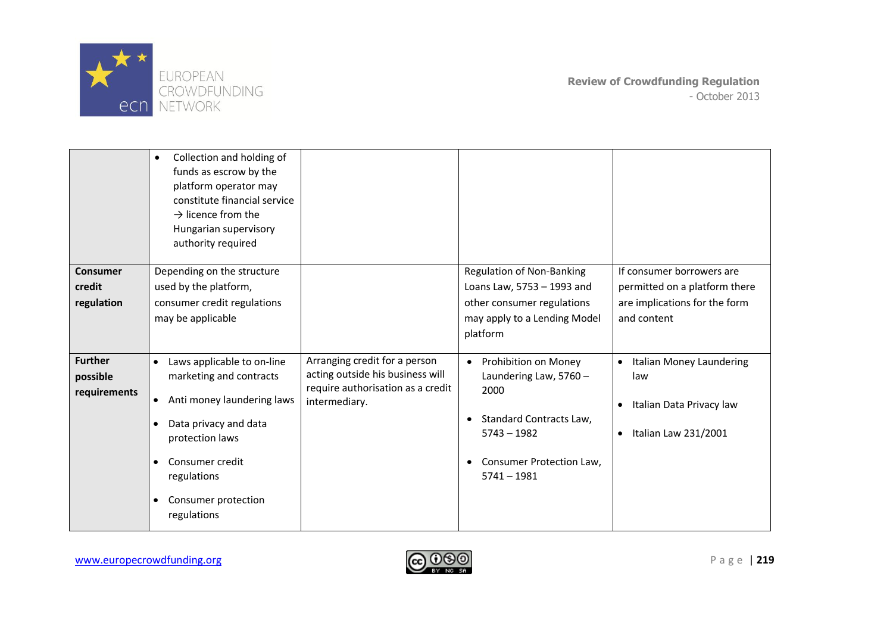

|                                            | Collection and holding of<br>$\bullet$<br>funds as escrow by the<br>platform operator may<br>constitute financial service<br>$\rightarrow$ licence from the<br>Hungarian supervisory<br>authority required                                       |                                                                                                                         |                                                                                                                                                                             |                                                                                                                            |
|--------------------------------------------|--------------------------------------------------------------------------------------------------------------------------------------------------------------------------------------------------------------------------------------------------|-------------------------------------------------------------------------------------------------------------------------|-----------------------------------------------------------------------------------------------------------------------------------------------------------------------------|----------------------------------------------------------------------------------------------------------------------------|
| Consumer                                   | Depending on the structure                                                                                                                                                                                                                       |                                                                                                                         | <b>Regulation of Non-Banking</b>                                                                                                                                            | If consumer borrowers are                                                                                                  |
| credit                                     | used by the platform,                                                                                                                                                                                                                            |                                                                                                                         | Loans Law, 5753 - 1993 and                                                                                                                                                  | permitted on a platform there                                                                                              |
| regulation                                 | consumer credit regulations                                                                                                                                                                                                                      |                                                                                                                         | other consumer regulations                                                                                                                                                  | are implications for the form                                                                                              |
|                                            | may be applicable                                                                                                                                                                                                                                |                                                                                                                         | may apply to a Lending Model                                                                                                                                                | and content                                                                                                                |
|                                            |                                                                                                                                                                                                                                                  |                                                                                                                         | platform                                                                                                                                                                    |                                                                                                                            |
| <b>Further</b><br>possible<br>requirements | Laws applicable to on-line<br>$\bullet$<br>marketing and contracts<br>Anti money laundering laws<br>٠<br>Data privacy and data<br>٠<br>protection laws<br>Consumer credit<br>$\bullet$<br>regulations<br>Consumer protection<br>٠<br>regulations | Arranging credit for a person<br>acting outside his business will<br>require authorisation as a credit<br>intermediary. | Prohibition on Money<br>$\bullet$<br>Laundering Law, $5760 -$<br>2000<br>Standard Contracts Law,<br>$\bullet$<br>$5743 - 1982$<br>Consumer Protection Law,<br>$5741 - 1981$ | Italian Money Laundering<br>$\bullet$<br>law<br>Italian Data Privacy law<br>$\bullet$<br>Italian Law 231/2001<br>$\bullet$ |

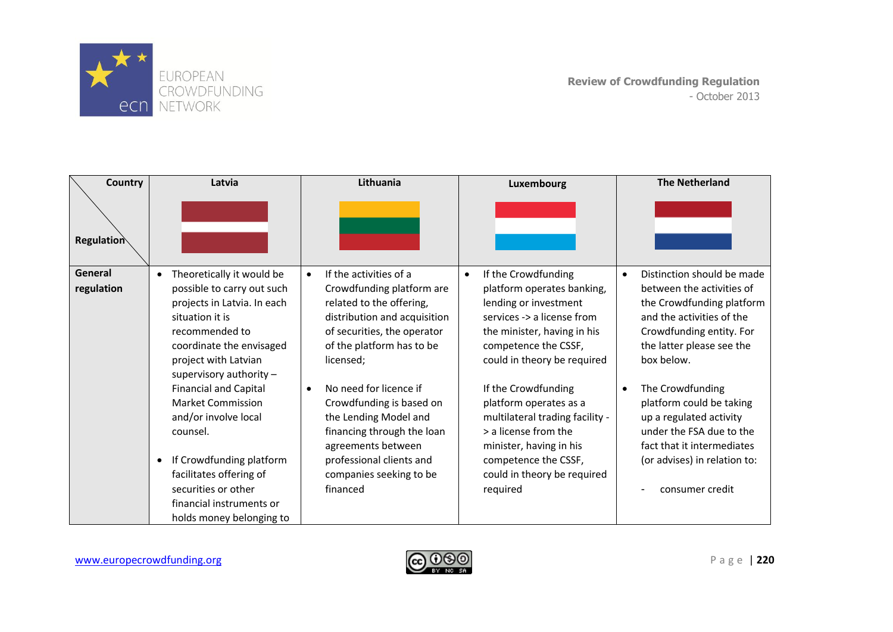

| <b>Country</b>    | Latvia                                                   | Lithuania                           | Luxembourg                                    | <b>The Netherland</b>                        |
|-------------------|----------------------------------------------------------|-------------------------------------|-----------------------------------------------|----------------------------------------------|
| <b>Regulation</b> |                                                          |                                     |                                               |                                              |
| General           | Theoretically it would be<br>$\bullet$                   | If the activities of a<br>$\bullet$ | If the Crowdfunding<br>$\bullet$              | Distinction should be made<br>$\bullet$      |
| regulation        | possible to carry out such                               | Crowdfunding platform are           | platform operates banking,                    | between the activities of                    |
|                   | projects in Latvia. In each                              | related to the offering,            | lending or investment                         | the Crowdfunding platform                    |
|                   | situation it is                                          | distribution and acquisition        | services -> a license from                    | and the activities of the                    |
|                   | recommended to                                           | of securities, the operator         | the minister, having in his                   | Crowdfunding entity. For                     |
|                   | coordinate the envisaged                                 | of the platform has to be           | competence the CSSF,                          | the latter please see the                    |
|                   | project with Latvian                                     | licensed;                           | could in theory be required                   | box below.                                   |
|                   | supervisory authority $-$                                | No need for licence if<br>$\bullet$ |                                               |                                              |
|                   | <b>Financial and Capital</b><br><b>Market Commission</b> | Crowdfunding is based on            | If the Crowdfunding<br>platform operates as a | The Crowdfunding<br>platform could be taking |
|                   | and/or involve local                                     | the Lending Model and               | multilateral trading facility -               | up a regulated activity                      |
|                   | counsel.                                                 | financing through the loan          | > a license from the                          | under the FSA due to the                     |
|                   |                                                          | agreements between                  | minister, having in his                       | fact that it intermediates                   |
|                   | If Crowdfunding platform                                 | professional clients and            | competence the CSSF,                          | (or advises) in relation to:                 |
|                   | facilitates offering of                                  | companies seeking to be             | could in theory be required                   |                                              |
|                   | securities or other                                      | financed                            | required                                      | consumer credit                              |
|                   | financial instruments or                                 |                                     |                                               |                                              |
|                   | holds money belonging to                                 |                                     |                                               |                                              |

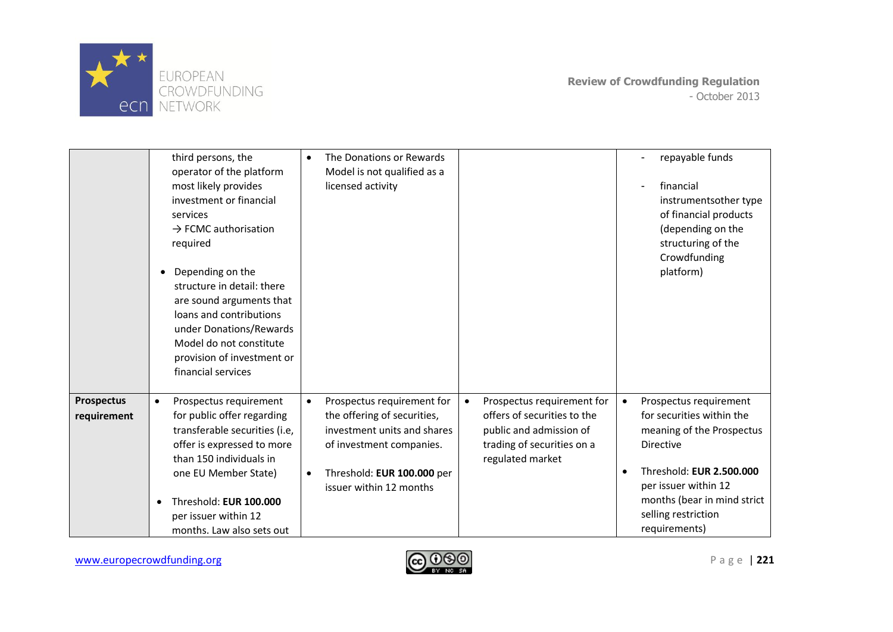

|                                  | third persons, the<br>operator of the platform<br>most likely provides<br>investment or financial<br>services<br>$\rightarrow$ FCMC authorisation<br>required<br>Depending on the<br>structure in detail: there<br>are sound arguments that<br>loans and contributions<br>under Donations/Rewards<br>Model do not constitute<br>provision of investment or<br>financial services | The Donations or Rewards<br>$\bullet$<br>Model is not qualified as a<br>licensed activity                                                                                                                                                                                                                                                         | repayable funds<br>financial<br>instrumentsother type<br>of financial products<br>(depending on the<br>structuring of the<br>Crowdfunding<br>platform)                                                                                       |
|----------------------------------|----------------------------------------------------------------------------------------------------------------------------------------------------------------------------------------------------------------------------------------------------------------------------------------------------------------------------------------------------------------------------------|---------------------------------------------------------------------------------------------------------------------------------------------------------------------------------------------------------------------------------------------------------------------------------------------------------------------------------------------------|----------------------------------------------------------------------------------------------------------------------------------------------------------------------------------------------------------------------------------------------|
| <b>Prospectus</b><br>requirement | Prospectus requirement<br>$\bullet$<br>for public offer regarding<br>transferable securities (i.e,<br>offer is expressed to more<br>than 150 individuals in<br>one EU Member State)<br>Threshold: EUR 100.000<br>$\bullet$<br>per issuer within 12<br>months. Law also sets out                                                                                                  | Prospectus requirement for<br>Prospectus requirement for<br>$\bullet$<br>offers of securities to the<br>the offering of securities,<br>investment units and shares<br>public and admission of<br>trading of securities on a<br>of investment companies.<br>regulated market<br>Threshold: EUR 100.000 per<br>$\bullet$<br>issuer within 12 months | Prospectus requirement<br>$\bullet$<br>for securities within the<br>meaning of the Prospectus<br><b>Directive</b><br>Threshold: EUR 2.500.000<br>per issuer within 12<br>months (bear in mind strict<br>selling restriction<br>requirements) |

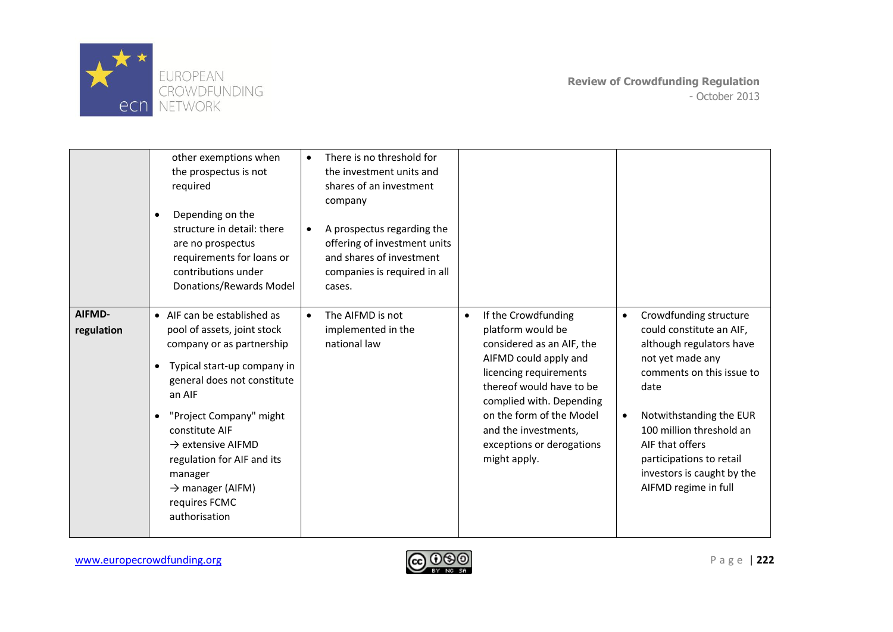

|                      | other exemptions when<br>the prospectus is not<br>required<br>Depending on the<br>$\bullet$<br>structure in detail: there<br>are no prospectus<br>requirements for loans or<br>contributions under<br>Donations/Rewards Model                                                                                                                                                      | There is no threshold for<br>the investment units and<br>shares of an investment<br>company<br>A prospectus regarding the<br>offering of investment units<br>and shares of investment<br>companies is required in all<br>cases. |                                                                                                                                                                                                                                                                                                                                                                                                                                                                                                                                                                                                                    |
|----------------------|------------------------------------------------------------------------------------------------------------------------------------------------------------------------------------------------------------------------------------------------------------------------------------------------------------------------------------------------------------------------------------|---------------------------------------------------------------------------------------------------------------------------------------------------------------------------------------------------------------------------------|--------------------------------------------------------------------------------------------------------------------------------------------------------------------------------------------------------------------------------------------------------------------------------------------------------------------------------------------------------------------------------------------------------------------------------------------------------------------------------------------------------------------------------------------------------------------------------------------------------------------|
| AIFMD-<br>regulation | • AIF can be established as<br>pool of assets, joint stock<br>company or as partnership<br>Typical start-up company in<br>$\bullet$<br>general does not constitute<br>an AIF<br>"Project Company" might<br>$\bullet$<br>constitute AIF<br>$\rightarrow$ extensive AIFMD<br>regulation for AIF and its<br>manager<br>$\rightarrow$ manager (AIFM)<br>requires FCMC<br>authorisation | The AIFMD is not<br>$\bullet$<br>implemented in the<br>national law                                                                                                                                                             | If the Crowdfunding<br>Crowdfunding structure<br>$\bullet$<br>platform would be<br>could constitute an AIF,<br>considered as an AIF, the<br>although regulators have<br>AIFMD could apply and<br>not yet made any<br>licencing requirements<br>comments on this issue to<br>thereof would have to be<br>date<br>complied with. Depending<br>on the form of the Model<br>Notwithstanding the EUR<br>$\bullet$<br>and the investments,<br>100 million threshold an<br>AIF that offers<br>exceptions or derogations<br>might apply.<br>participations to retail<br>investors is caught by the<br>AIFMD regime in full |

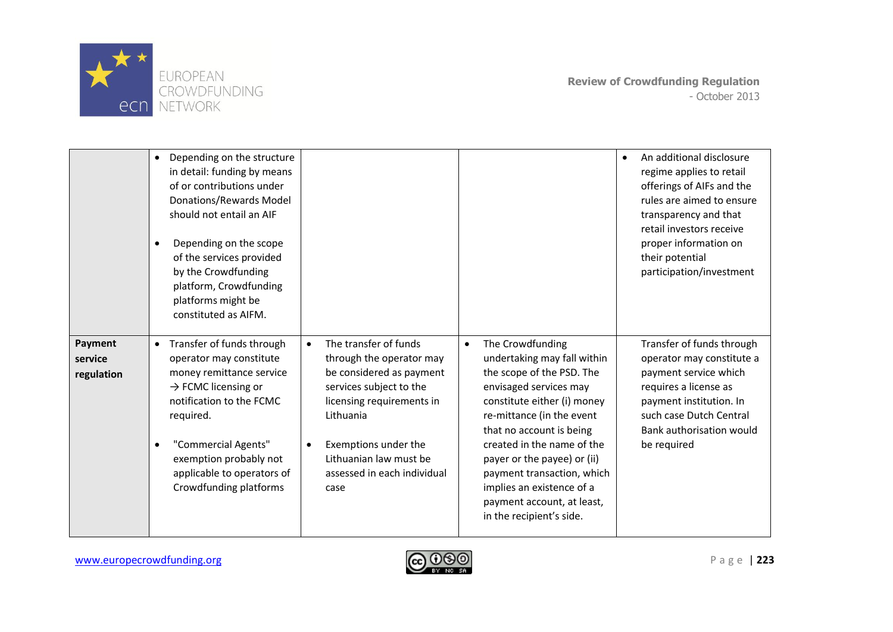

|                                  | Depending on the structure<br>$\bullet$<br>in detail: funding by means<br>of or contributions under<br>Donations/Rewards Model<br>should not entail an AIF<br>Depending on the scope<br>$\bullet$<br>of the services provided<br>by the Crowdfunding<br>platform, Crowdfunding<br>platforms might be<br>constituted as AIFM. |                                                                                                                                                                                                                                                                       |                                                                                                                                                                                                                                                                                                                                                                                               | An additional disclosure<br>$\bullet$<br>regime applies to retail<br>offerings of AIFs and the<br>rules are aimed to ensure<br>transparency and that<br>retail investors receive<br>proper information on<br>their potential<br>participation/investment |
|----------------------------------|------------------------------------------------------------------------------------------------------------------------------------------------------------------------------------------------------------------------------------------------------------------------------------------------------------------------------|-----------------------------------------------------------------------------------------------------------------------------------------------------------------------------------------------------------------------------------------------------------------------|-----------------------------------------------------------------------------------------------------------------------------------------------------------------------------------------------------------------------------------------------------------------------------------------------------------------------------------------------------------------------------------------------|----------------------------------------------------------------------------------------------------------------------------------------------------------------------------------------------------------------------------------------------------------|
| Payment<br>service<br>regulation | Transfer of funds through<br>$\bullet$<br>operator may constitute<br>money remittance service<br>$\rightarrow$ FCMC licensing or<br>notification to the FCMC<br>required.<br>"Commercial Agents"<br>$\bullet$<br>exemption probably not<br>applicable to operators of<br>Crowdfunding platforms                              | The transfer of funds<br>$\bullet$<br>through the operator may<br>be considered as payment<br>services subject to the<br>licensing requirements in<br>Lithuania<br>Exemptions under the<br>$\bullet$<br>Lithuanian law must be<br>assessed in each individual<br>case | The Crowdfunding<br>$\bullet$<br>undertaking may fall within<br>the scope of the PSD. The<br>envisaged services may<br>constitute either (i) money<br>re-mittance (in the event<br>that no account is being<br>created in the name of the<br>payer or the payee) or (ii)<br>payment transaction, which<br>implies an existence of a<br>payment account, at least,<br>in the recipient's side. | Transfer of funds through<br>operator may constitute a<br>payment service which<br>requires a license as<br>payment institution. In<br>such case Dutch Central<br>Bank authorisation would<br>be required                                                |

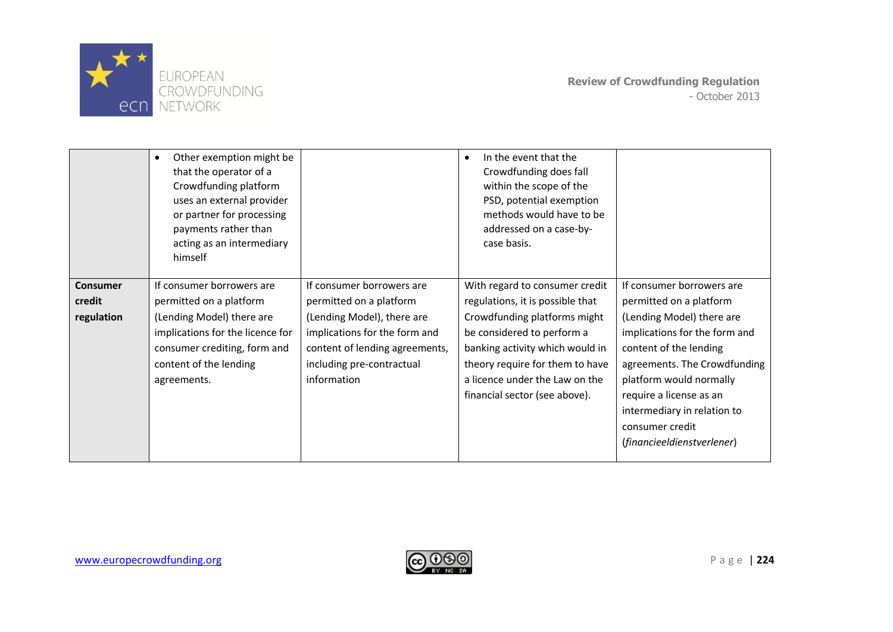

|                                         | Other exemption might be<br>$\bullet$<br>that the operator of a<br>Crowdfunding platform<br>uses an external provider<br>or partner for processing<br>payments rather than<br>acting as an intermediary<br>himself |                                                                                                                                                                                                   | In the event that the<br>٠<br>Crowdfunding does fall<br>within the scope of the<br>PSD, potential exemption<br>methods would have to be<br>addressed on a case-by-<br>case basis.                                                                                         |                                                                                                                                                                                                                                                                                                                    |
|-----------------------------------------|--------------------------------------------------------------------------------------------------------------------------------------------------------------------------------------------------------------------|---------------------------------------------------------------------------------------------------------------------------------------------------------------------------------------------------|---------------------------------------------------------------------------------------------------------------------------------------------------------------------------------------------------------------------------------------------------------------------------|--------------------------------------------------------------------------------------------------------------------------------------------------------------------------------------------------------------------------------------------------------------------------------------------------------------------|
| <b>Consumer</b><br>credit<br>regulation | If consumer borrowers are<br>permitted on a platform<br>(Lending Model) there are<br>implications for the licence for<br>consumer crediting, form and<br>content of the lending<br>agreements.                     | If consumer borrowers are<br>permitted on a platform<br>(Lending Model), there are<br>implications for the form and<br>content of lending agreements,<br>including pre-contractual<br>information | With regard to consumer credit<br>regulations, it is possible that<br>Crowdfunding platforms might<br>be considered to perform a<br>banking activity which would in<br>theory require for them to have<br>a licence under the Law on the<br>financial sector (see above). | If consumer borrowers are<br>permitted on a platform<br>(Lending Model) there are<br>implications for the form and<br>content of the lending<br>agreements. The Crowdfunding<br>platform would normally<br>require a license as an<br>intermediary in relation to<br>consumer credit<br>(financieeldienstverlener) |

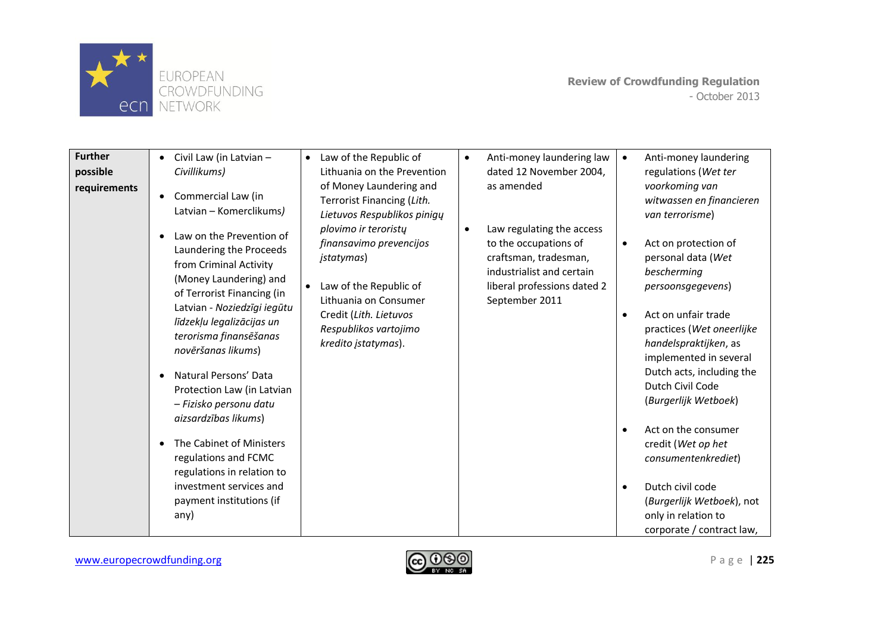

| <b>Further</b><br>possible<br>requirements | Civil Law (in Latvian -<br>$\bullet$<br>Civillikums)<br>Commercial Law (in<br>$\bullet$<br>Latvian - Komerclikums)                                                                                                                                                                                                                                                                                                            | Law of the Republic of<br>$\bullet$<br>Lithuania on the Prevention<br>of Money Laundering and<br>Terrorist Financing (Lith.<br>Lietuvos Respublikos pinigų<br>plovimo ir teroristy      | Anti-money laundering law<br>$\bullet$<br>dated 12 November 2004,<br>as amended<br>Law regulating the access<br>$\bullet$    | Anti-money laundering<br>$\bullet$<br>regulations (Wet ter<br>voorkoming van<br>witwassen en financieren<br>van terrorisme)                                                                                                                                                                                 |
|--------------------------------------------|-------------------------------------------------------------------------------------------------------------------------------------------------------------------------------------------------------------------------------------------------------------------------------------------------------------------------------------------------------------------------------------------------------------------------------|-----------------------------------------------------------------------------------------------------------------------------------------------------------------------------------------|------------------------------------------------------------------------------------------------------------------------------|-------------------------------------------------------------------------------------------------------------------------------------------------------------------------------------------------------------------------------------------------------------------------------------------------------------|
|                                            | Law on the Prevention of<br>$\bullet$<br>Laundering the Proceeds<br>from Criminal Activity<br>(Money Laundering) and<br>of Terrorist Financing (in<br>Latvian - Noziedzīgi iegūtu<br>līdzekļu legalizācijas un<br>terorisma finansēšanas<br>novēršanas likums)<br>Natural Persons' Data<br>$\bullet$<br>Protection Law (in Latvian<br>- Fizisko personu datu<br>aizsardzības likums)<br>The Cabinet of Ministers<br>$\bullet$ | finansavimo prevencijos<br><i>jstatymas</i> )<br>Law of the Republic of<br>$\bullet$<br>Lithuania on Consumer<br>Credit (Lith. Lietuvos<br>Respublikos vartojimo<br>kredito įstatymas). | to the occupations of<br>craftsman, tradesman,<br>industrialist and certain<br>liberal professions dated 2<br>September 2011 | Act on protection of<br>personal data (Wet<br>bescherming<br>persoonsgegevens)<br>Act on unfair trade<br>practices (Wet oneerlijke<br>handelspraktijken, as<br>implemented in several<br>Dutch acts, including the<br>Dutch Civil Code<br>(Burgerlijk Wetboek)<br>Act on the consumer<br>credit (Wet op het |
|                                            | regulations and FCMC<br>regulations in relation to<br>investment services and<br>payment institutions (if<br>any)                                                                                                                                                                                                                                                                                                             |                                                                                                                                                                                         |                                                                                                                              | consumentenkrediet)<br>Dutch civil code<br>(Burgerlijk Wetboek), not<br>only in relation to<br>corporate / contract law,                                                                                                                                                                                    |

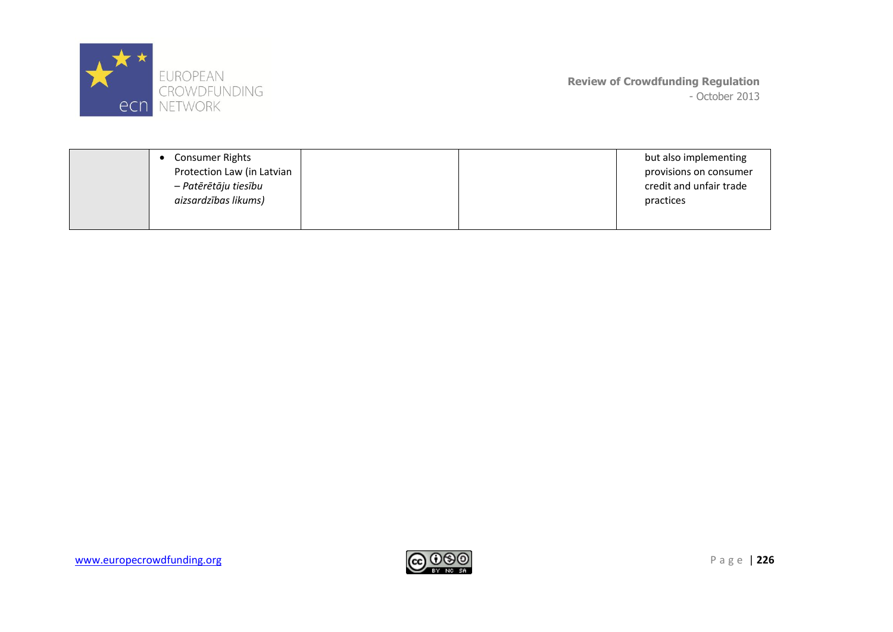

| <b>Consumer Rights</b>     |  | but also implementing   |
|----------------------------|--|-------------------------|
| Protection Law (in Latvian |  | provisions on consumer  |
| – Patērētāju tiesību       |  | credit and unfair trade |
| aizsardzības likums)       |  | practices               |
|                            |  |                         |
|                            |  |                         |

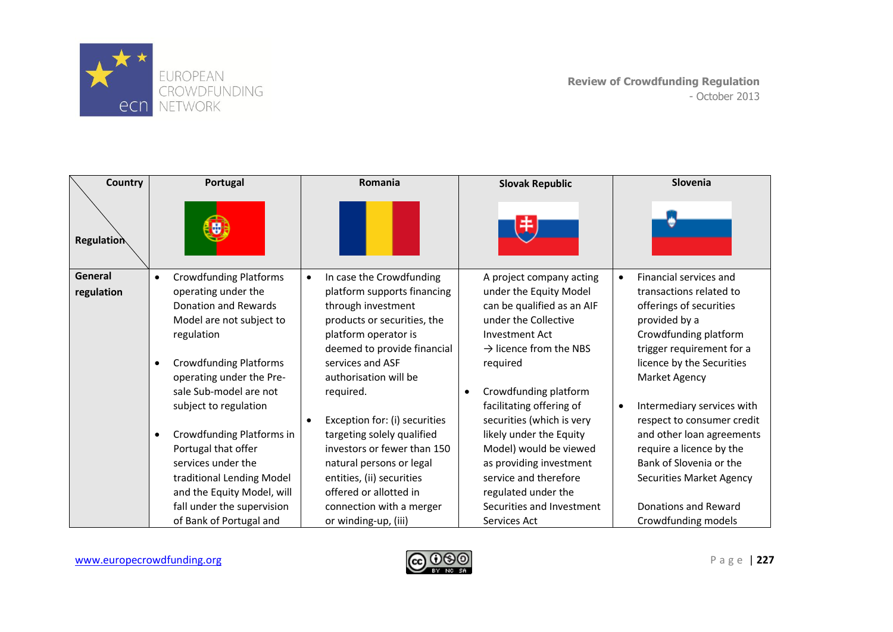

| <b>Country</b>    | <b>Portugal</b>                            | Romania                                    | <b>Slovak Republic</b>             | Slovenia                                |
|-------------------|--------------------------------------------|--------------------------------------------|------------------------------------|-----------------------------------------|
| <b>Regulation</b> |                                            |                                            |                                    |                                         |
| General           | <b>Crowdfunding Platforms</b><br>٠         | In case the Crowdfunding<br>$\bullet$      | A project company acting           | Financial services and                  |
| regulation        | operating under the                        | platform supports financing                | under the Equity Model             | transactions related to                 |
|                   | Donation and Rewards                       | through investment                         | can be qualified as an AIF         | offerings of securities                 |
|                   | Model are not subject to                   | products or securities, the                | under the Collective               | provided by a                           |
|                   | regulation                                 | platform operator is                       | <b>Investment Act</b>              | Crowdfunding platform                   |
|                   |                                            | deemed to provide financial                | $\rightarrow$ licence from the NBS | trigger requirement for a               |
|                   | <b>Crowdfunding Platforms</b><br>$\bullet$ | services and ASF                           | required                           | licence by the Securities               |
|                   | operating under the Pre-                   | authorisation will be                      |                                    | Market Agency                           |
|                   | sale Sub-model are not                     | required.                                  | Crowdfunding platform<br>$\bullet$ |                                         |
|                   | subject to regulation                      |                                            | facilitating offering of           | Intermediary services with<br>$\bullet$ |
|                   |                                            | Exception for: (i) securities<br>$\bullet$ | securities (which is very          | respect to consumer credit              |
|                   | Crowdfunding Platforms in<br>٠             | targeting solely qualified                 | likely under the Equity            | and other loan agreements               |
|                   | Portugal that offer                        | investors or fewer than 150                | Model) would be viewed             | require a licence by the                |
|                   | services under the                         | natural persons or legal                   | as providing investment            | Bank of Slovenia or the                 |
|                   | traditional Lending Model                  | entities, (ii) securities                  | service and therefore              | Securities Market Agency                |
|                   | and the Equity Model, will                 | offered or allotted in                     | regulated under the                |                                         |
|                   | fall under the supervision                 | connection with a merger                   | Securities and Investment          | Donations and Reward                    |
|                   | of Bank of Portugal and                    | or winding-up, (iii)                       | Services Act                       | Crowdfunding models                     |

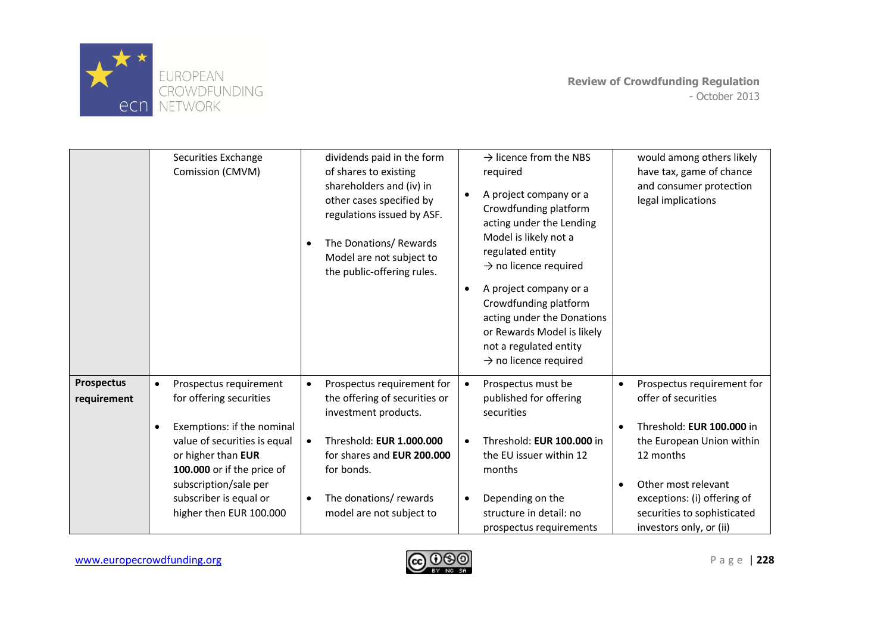

|                                  | Securities Exchange<br>Comission (CMVM)                                                                                                                                                                                                                                     | dividends paid in the form<br>of shares to existing<br>shareholders and (iv) in<br>other cases specified by<br>regulations issued by ASF.<br>The Donations/ Rewards<br>$\bullet$<br>Model are not subject to<br>the public-offering rules.              | $\rightarrow$ licence from the NBS<br>required<br>A project company or a<br>$\bullet$<br>Crowdfunding platform<br>acting under the Lending<br>Model is likely not a<br>regulated entity<br>$\rightarrow$ no licence required<br>A project company or a<br>$\bullet$<br>Crowdfunding platform<br>acting under the Donations<br>or Rewards Model is likely<br>not a regulated entity<br>$\rightarrow$ no licence required | would among others likely<br>have tax, game of chance<br>and consumer protection<br>legal implications                                                                                                                                   |
|----------------------------------|-----------------------------------------------------------------------------------------------------------------------------------------------------------------------------------------------------------------------------------------------------------------------------|---------------------------------------------------------------------------------------------------------------------------------------------------------------------------------------------------------------------------------------------------------|-------------------------------------------------------------------------------------------------------------------------------------------------------------------------------------------------------------------------------------------------------------------------------------------------------------------------------------------------------------------------------------------------------------------------|------------------------------------------------------------------------------------------------------------------------------------------------------------------------------------------------------------------------------------------|
| <b>Prospectus</b><br>requirement | Prospectus requirement<br>$\bullet$<br>for offering securities<br>Exemptions: if the nominal<br>$\bullet$<br>value of securities is equal<br>or higher than EUR<br>100.000 or if the price of<br>subscription/sale per<br>subscriber is equal or<br>higher then EUR 100.000 | Prospectus requirement for<br>$\bullet$<br>the offering of securities or<br>investment products.<br>Threshold: EUR 1.000.000<br>$\bullet$<br>for shares and EUR 200.000<br>for bonds.<br>The donations/rewards<br>$\bullet$<br>model are not subject to | Prospectus must be<br>$\bullet$<br>published for offering<br>securities<br>Threshold: EUR 100.000 in<br>$\bullet$<br>the EU issuer within 12<br>months<br>Depending on the<br>$\bullet$<br>structure in detail: no<br>prospectus requirements                                                                                                                                                                           | Prospectus requirement for<br>offer of securities<br>Threshold: EUR 100.000 in<br>the European Union within<br>12 months<br>Other most relevant<br>exceptions: (i) offering of<br>securities to sophisticated<br>investors only, or (ii) |

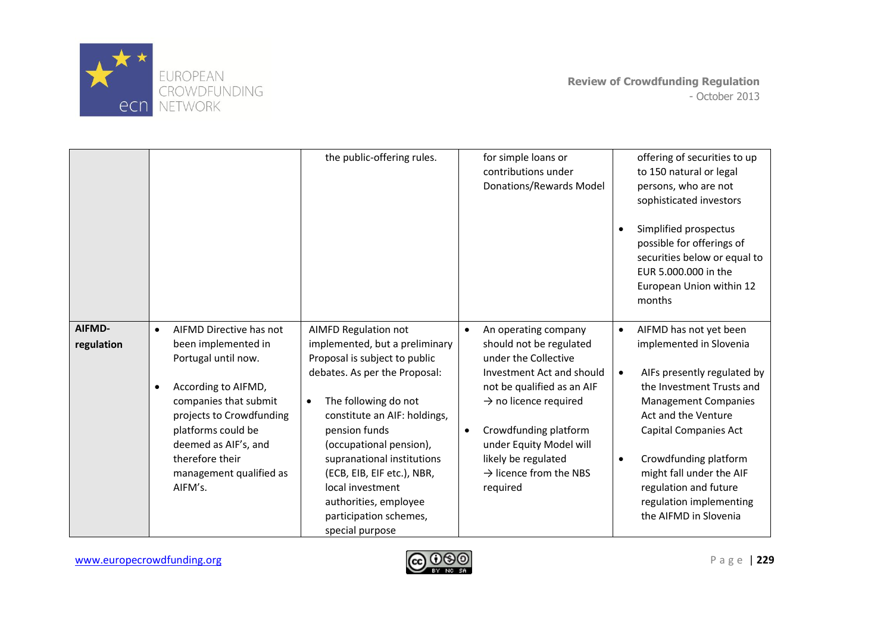

|                      |                                                                                                                                                                                                                                                                                    | the public-offering rules.                                                                                                                                                                                                                                                                                                                                                                             | for simple loans or<br>contributions under<br>Donations/Rewards Model                                                                                                                                                                                                                                                          | offering of securities to up<br>to 150 natural or legal<br>persons, who are not<br>sophisticated investors<br>Simplified prospectus<br>possible for offerings of<br>securities below or equal to<br>EUR 5.000.000 in the<br>European Union within 12<br>months                                                                                           |
|----------------------|------------------------------------------------------------------------------------------------------------------------------------------------------------------------------------------------------------------------------------------------------------------------------------|--------------------------------------------------------------------------------------------------------------------------------------------------------------------------------------------------------------------------------------------------------------------------------------------------------------------------------------------------------------------------------------------------------|--------------------------------------------------------------------------------------------------------------------------------------------------------------------------------------------------------------------------------------------------------------------------------------------------------------------------------|----------------------------------------------------------------------------------------------------------------------------------------------------------------------------------------------------------------------------------------------------------------------------------------------------------------------------------------------------------|
| AIFMD-<br>regulation | AIFMD Directive has not<br>$\bullet$<br>been implemented in<br>Portugal until now.<br>According to AIFMD,<br>$\bullet$<br>companies that submit<br>projects to Crowdfunding<br>platforms could be<br>deemed as AIF's, and<br>therefore their<br>management qualified as<br>AIFM's. | <b>AIMFD Regulation not</b><br>implemented, but a preliminary<br>Proposal is subject to public<br>debates. As per the Proposal:<br>The following do not<br>$\bullet$<br>constitute an AIF: holdings,<br>pension funds<br>(occupational pension),<br>supranational institutions<br>(ECB, EIB, EIF etc.), NBR,<br>local investment<br>authorities, employee<br>participation schemes,<br>special purpose | An operating company<br>$\bullet$<br>should not be regulated<br>under the Collective<br>Investment Act and should<br>not be qualified as an AIF<br>$\rightarrow$ no licence required<br>Crowdfunding platform<br>$\bullet$<br>under Equity Model will<br>likely be regulated<br>$\rightarrow$ licence from the NBS<br>required | AIFMD has not yet been<br>implemented in Slovenia<br>AIFs presently regulated by<br>$\bullet$<br>the Investment Trusts and<br><b>Management Companies</b><br>Act and the Venture<br>Capital Companies Act<br>Crowdfunding platform<br>$\bullet$<br>might fall under the AIF<br>regulation and future<br>regulation implementing<br>the AIFMD in Slovenia |

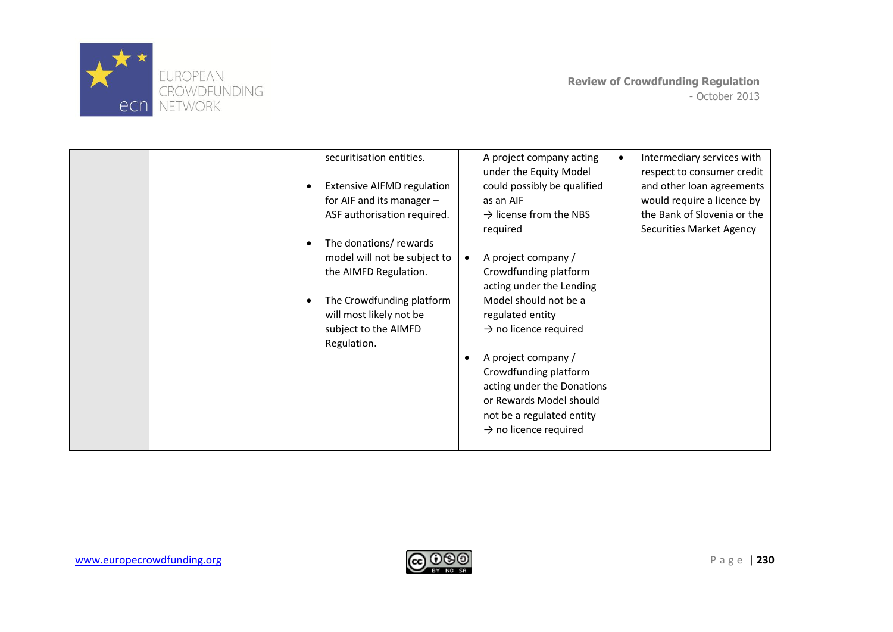

|  | securitisation entities.<br><b>Extensive AIFMD regulation</b><br>$\bullet$<br>for AIF and its manager $-$<br>ASF authorisation required.<br>The donations/ rewards<br>$\bullet$<br>model will not be subject to<br>the AIMFD Regulation.<br>The Crowdfunding platform<br>$\bullet$<br>will most likely not be<br>subject to the AIMFD<br>Regulation. | A project company acting<br>under the Equity Model<br>could possibly be qualified<br>as an AIF<br>$\rightarrow$ license from the NBS<br>required<br>A project company /<br>$\bullet$<br>Crowdfunding platform<br>acting under the Lending<br>Model should not be a<br>regulated entity<br>$\rightarrow$ no licence required<br>A project company /<br>Crowdfunding platform<br>acting under the Donations<br>or Rewards Model should<br>not be a regulated entity<br>$\rightarrow$ no licence required | Intermediary services with<br>$\bullet$<br>respect to consumer credit<br>and other loan agreements<br>would require a licence by<br>the Bank of Slovenia or the<br><b>Securities Market Agency</b> |
|--|------------------------------------------------------------------------------------------------------------------------------------------------------------------------------------------------------------------------------------------------------------------------------------------------------------------------------------------------------|--------------------------------------------------------------------------------------------------------------------------------------------------------------------------------------------------------------------------------------------------------------------------------------------------------------------------------------------------------------------------------------------------------------------------------------------------------------------------------------------------------|----------------------------------------------------------------------------------------------------------------------------------------------------------------------------------------------------|
|--|------------------------------------------------------------------------------------------------------------------------------------------------------------------------------------------------------------------------------------------------------------------------------------------------------------------------------------------------------|--------------------------------------------------------------------------------------------------------------------------------------------------------------------------------------------------------------------------------------------------------------------------------------------------------------------------------------------------------------------------------------------------------------------------------------------------------------------------------------------------------|----------------------------------------------------------------------------------------------------------------------------------------------------------------------------------------------------|

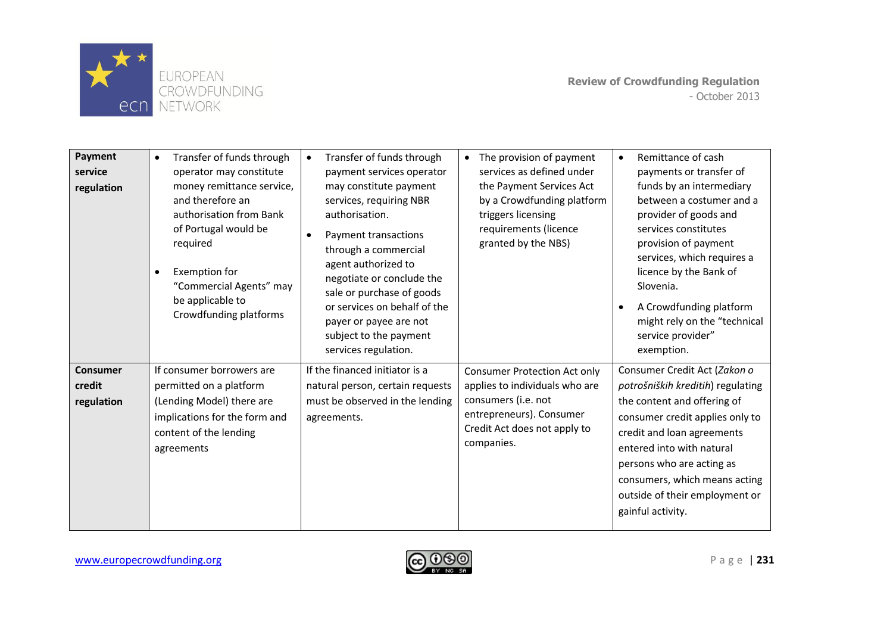

| <b>Payment</b><br>service<br>regulation | Transfer of funds through<br>$\bullet$<br>operator may constitute<br>money remittance service,<br>and therefore an<br>authorisation from Bank<br>of Portugal would be<br>required<br><b>Exemption for</b><br>$\bullet$<br>"Commercial Agents" may<br>be applicable to<br>Crowdfunding platforms | Transfer of funds through<br>$\bullet$<br>payment services operator<br>may constitute payment<br>services, requiring NBR<br>authorisation.<br>Payment transactions<br>through a commercial<br>agent authorized to<br>negotiate or conclude the<br>sale or purchase of goods<br>or services on behalf of the<br>payer or payee are not<br>subject to the payment<br>services regulation. | The provision of payment<br>$\bullet$<br>services as defined under<br>the Payment Services Act<br>by a Crowdfunding platform<br>triggers licensing<br>requirements (licence<br>granted by the NBS) | Remittance of cash<br>$\bullet$<br>payments or transfer of<br>funds by an intermediary<br>between a costumer and a<br>provider of goods and<br>services constitutes<br>provision of payment<br>services, which requires a<br>licence by the Bank of<br>Slovenia.<br>A Crowdfunding platform<br>might rely on the "technical<br>service provider"<br>exemption. |
|-----------------------------------------|-------------------------------------------------------------------------------------------------------------------------------------------------------------------------------------------------------------------------------------------------------------------------------------------------|-----------------------------------------------------------------------------------------------------------------------------------------------------------------------------------------------------------------------------------------------------------------------------------------------------------------------------------------------------------------------------------------|----------------------------------------------------------------------------------------------------------------------------------------------------------------------------------------------------|----------------------------------------------------------------------------------------------------------------------------------------------------------------------------------------------------------------------------------------------------------------------------------------------------------------------------------------------------------------|
| <b>Consumer</b><br>credit<br>regulation | If consumer borrowers are<br>permitted on a platform<br>(Lending Model) there are<br>implications for the form and<br>content of the lending<br>agreements                                                                                                                                      | If the financed initiator is a<br>natural person, certain requests<br>must be observed in the lending<br>agreements.                                                                                                                                                                                                                                                                    | <b>Consumer Protection Act only</b><br>applies to individuals who are<br>consumers (i.e. not<br>entrepreneurs). Consumer<br>Credit Act does not apply to<br>companies.                             | Consumer Credit Act (Zakon o<br>potrošniških kreditih) regulating<br>the content and offering of<br>consumer credit applies only to<br>credit and loan agreements<br>entered into with natural<br>persons who are acting as<br>consumers, which means acting<br>outside of their employment or<br>gainful activity.                                            |

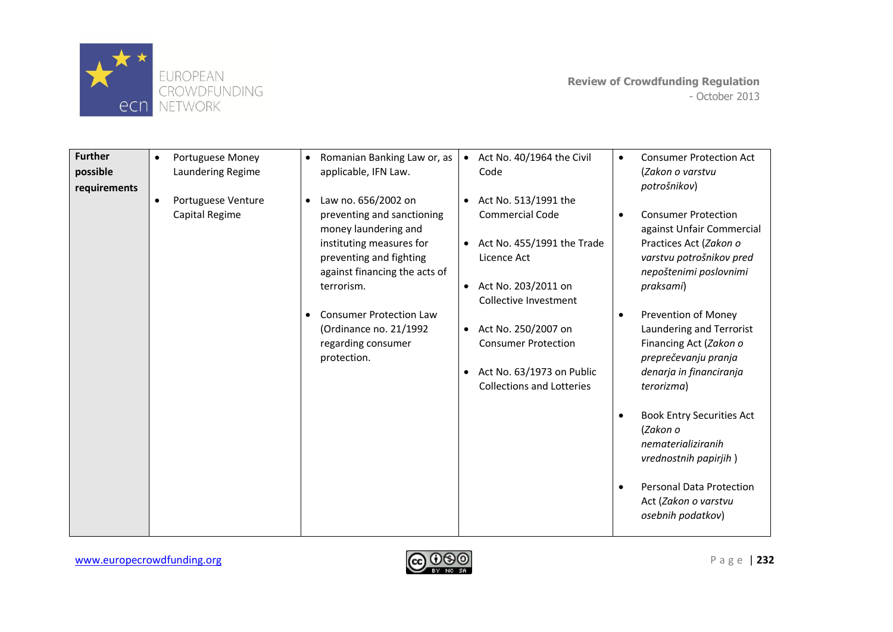

| <b>Further</b><br>possible<br>requirements | Portuguese Money<br>$\bullet$<br>Laundering Regime | Romanian Banking Law or, as<br>$\bullet$<br>applicable, IFN Law.                                                                                                                                                                                                                                           | Act No. 40/1964 the Civil<br>$\bullet$<br>Code                                                                                                                                                                                                                                                                                     | <b>Consumer Protection Act</b><br>$\bullet$<br>(Zakon o varstvu<br>potrošnikov)                                                                                                                                                                                                                    |
|--------------------------------------------|----------------------------------------------------|------------------------------------------------------------------------------------------------------------------------------------------------------------------------------------------------------------------------------------------------------------------------------------------------------------|------------------------------------------------------------------------------------------------------------------------------------------------------------------------------------------------------------------------------------------------------------------------------------------------------------------------------------|----------------------------------------------------------------------------------------------------------------------------------------------------------------------------------------------------------------------------------------------------------------------------------------------------|
|                                            | Portuguese Venture<br>$\bullet$<br>Capital Regime  | Law no. 656/2002 on<br>$\bullet$<br>preventing and sanctioning<br>money laundering and<br>instituting measures for<br>preventing and fighting<br>against financing the acts of<br>terrorism.<br><b>Consumer Protection Law</b><br>$\bullet$<br>(Ordinance no. 21/1992<br>regarding consumer<br>protection. | Act No. 513/1991 the<br>$\bullet$<br><b>Commercial Code</b><br>Act No. 455/1991 the Trade<br>$\bullet$<br>Licence Act<br>Act No. 203/2011 on<br>$\bullet$<br>Collective Investment<br>Act No. 250/2007 on<br>$\bullet$<br><b>Consumer Protection</b><br>Act No. 63/1973 on Public<br>$\bullet$<br><b>Collections and Lotteries</b> | <b>Consumer Protection</b><br>against Unfair Commercial<br>Practices Act (Zakon o<br>varstvu potrošnikov pred<br>nepoštenimi poslovnimi<br>praksami)<br>Prevention of Money<br>Laundering and Terrorist<br>Financing Act (Zakon o<br>preprečevanju pranja<br>denarja in financiranja<br>terorizma) |
|                                            |                                                    |                                                                                                                                                                                                                                                                                                            |                                                                                                                                                                                                                                                                                                                                    | <b>Book Entry Securities Act</b><br>(Zakon o<br>nematerializiranih<br>vrednostnih papirjih)<br><b>Personal Data Protection</b><br>Act (Zakon o varstvu<br>osebnih podatkov)                                                                                                                        |

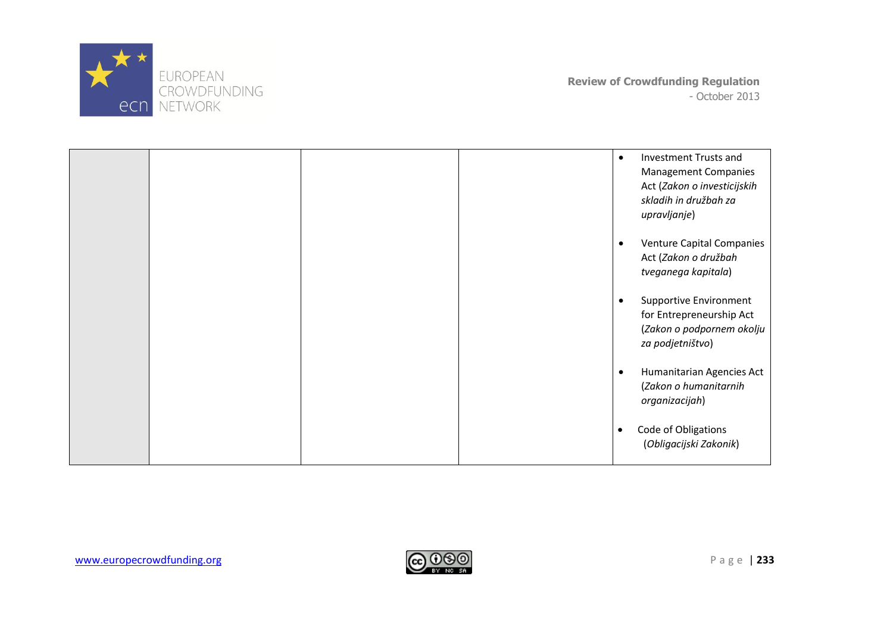

|  |  | $\bullet$ | <b>Investment Trusts and</b><br><b>Management Companies</b><br>Act (Zakon o investicijskih<br>skladih in družbah za<br>upravljanje) |
|--|--|-----------|-------------------------------------------------------------------------------------------------------------------------------------|
|  |  | $\bullet$ | <b>Venture Capital Companies</b><br>Act (Zakon o družbah<br>tveganega kapitala)                                                     |
|  |  |           | <b>Supportive Environment</b><br>for Entrepreneurship Act<br>(Zakon o podpornem okolju<br>za podjetništvo)                          |
|  |  | $\bullet$ | Humanitarian Agencies Act<br>(Zakon o humanitarnih<br>organizacijah)                                                                |
|  |  | $\bullet$ | Code of Obligations<br>(Obligacijski Zakonik)                                                                                       |

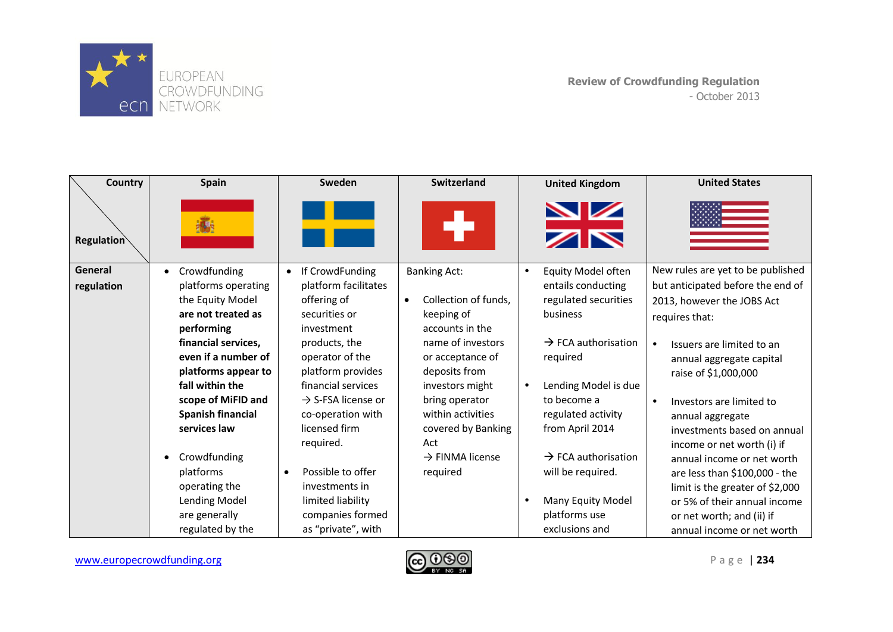

| Country           | <b>Spain</b>                             | Sweden                             | Switzerland                             |           | <b>United Kingdom</b>                 | <b>United States</b>                                     |
|-------------------|------------------------------------------|------------------------------------|-----------------------------------------|-----------|---------------------------------------|----------------------------------------------------------|
| <b>Regulation</b> | 氄                                        |                                    |                                         |           | $\frac{\sum x}{\sum x}$               |                                                          |
| General           | Crowdfunding                             | If CrowdFunding<br>$\bullet$       | <b>Banking Act:</b>                     | $\bullet$ | Equity Model often                    | New rules are yet to be published                        |
| regulation        | platforms operating                      | platform facilitates               |                                         |           | entails conducting                    | but anticipated before the end of                        |
|                   | the Equity Model                         | offering of                        | Collection of funds,<br>$\bullet$       |           | regulated securities                  | 2013, however the JOBS Act                               |
|                   | are not treated as                       | securities or                      | keeping of                              |           | business                              | requires that:                                           |
|                   | performing                               | investment                         | accounts in the                         |           |                                       |                                                          |
|                   | financial services,                      | products, the                      | name of investors                       |           | $\rightarrow$ FCA authorisation       | Issuers are limited to an                                |
|                   | even if a number of                      | operator of the                    | or acceptance of                        |           | required                              | annual aggregate capital                                 |
|                   | platforms appear to                      | platform provides                  | deposits from                           |           |                                       | raise of \$1,000,000                                     |
|                   | fall within the                          | financial services                 | investors might                         |           | Lending Model is due                  |                                                          |
|                   | scope of MiFID and                       | $\rightarrow$ S-FSA license or     | bring operator                          |           | to become a                           | Investors are limited to                                 |
|                   | <b>Spanish financial</b><br>services law | co-operation with<br>licensed firm | within activities<br>covered by Banking |           | regulated activity<br>from April 2014 | annual aggregate                                         |
|                   |                                          | required.                          | Act                                     |           |                                       | investments based on annual                              |
|                   | Crowdfunding                             |                                    | $\rightarrow$ FINMA license             |           | $\rightarrow$ FCA authorisation       | income or net worth (i) if<br>annual income or net worth |
|                   | platforms                                | Possible to offer                  | required                                |           | will be required.                     | are less than \$100,000 - the                            |
|                   | operating the                            | investments in                     |                                         |           |                                       | limit is the greater of \$2,000                          |
|                   | <b>Lending Model</b>                     | limited liability                  |                                         |           | Many Equity Model                     | or 5% of their annual income                             |
|                   | are generally                            | companies formed                   |                                         |           | platforms use                         | or net worth; and (ii) if                                |
|                   | regulated by the                         | as "private", with                 |                                         |           | exclusions and                        | annual income or net worth                               |

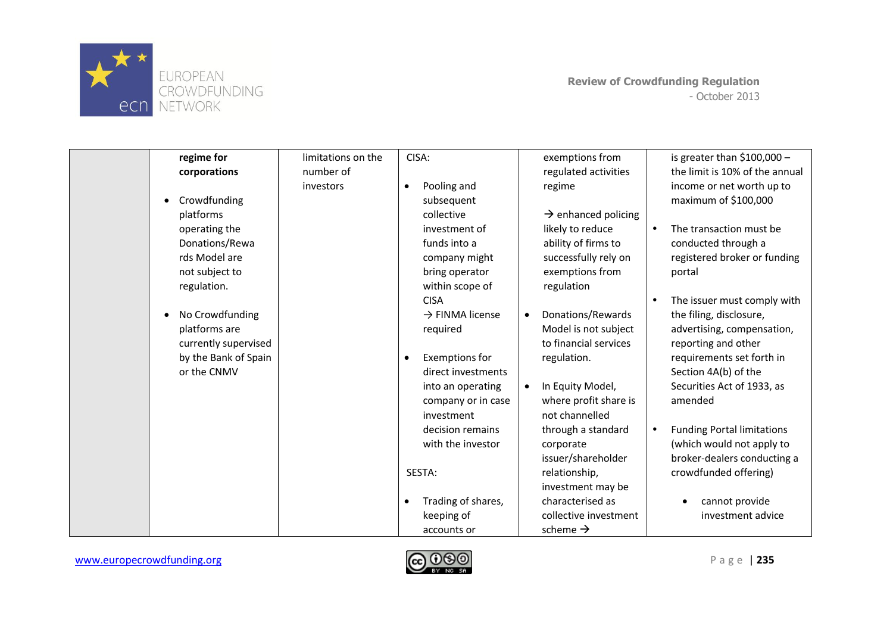

| regime for                   | limitations on the | CISA:                              | exemptions from                 | is greater than $$100,000 -$                   |
|------------------------------|--------------------|------------------------------------|---------------------------------|------------------------------------------------|
| corporations                 | number of          |                                    | regulated activities            | the limit is 10% of the annual                 |
|                              | investors          | Pooling and<br>$\bullet$           | regime                          | income or net worth up to                      |
| Crowdfunding<br>٠            |                    | subsequent                         |                                 | maximum of \$100,000                           |
| platforms                    |                    | collective                         | $\rightarrow$ enhanced policing |                                                |
| operating the                |                    | investment of                      | likely to reduce                | The transaction must be<br>$\bullet$           |
| Donations/Rewa               |                    | funds into a                       | ability of firms to             | conducted through a                            |
| rds Model are                |                    | company might                      | successfully rely on            | registered broker or funding                   |
| not subject to               |                    | bring operator                     | exemptions from                 | portal                                         |
| regulation.                  |                    | within scope of                    | regulation                      |                                                |
|                              |                    | <b>CISA</b>                        |                                 | The issuer must comply with<br>$\bullet$       |
| No Crowdfunding<br>$\bullet$ |                    | $\rightarrow$ FINMA license        | Donations/Rewards<br>$\bullet$  | the filing, disclosure,                        |
| platforms are                |                    | required                           | Model is not subject            | advertising, compensation,                     |
| currently supervised         |                    |                                    | to financial services           | reporting and other                            |
| by the Bank of Spain         |                    | <b>Exemptions for</b><br>$\bullet$ | regulation.                     | requirements set forth in                      |
| or the CNMV                  |                    | direct investments                 |                                 | Section 4A(b) of the                           |
|                              |                    | into an operating                  | In Equity Model,<br>$\bullet$   | Securities Act of 1933, as                     |
|                              |                    | company or in case                 | where profit share is           | amended                                        |
|                              |                    | investment                         | not channelled                  |                                                |
|                              |                    | decision remains                   | through a standard              | <b>Funding Portal limitations</b><br>$\bullet$ |
|                              |                    | with the investor                  | corporate                       | (which would not apply to                      |
|                              |                    |                                    | issuer/shareholder              | broker-dealers conducting a                    |
|                              |                    | SESTA:                             | relationship,                   | crowdfunded offering)                          |
|                              |                    |                                    | investment may be               |                                                |
|                              |                    | Trading of shares,<br>$\bullet$    | characterised as                | cannot provide                                 |
|                              |                    | keeping of                         | collective investment           | investment advice                              |
|                              |                    | accounts or                        | scheme $\rightarrow$            |                                                |

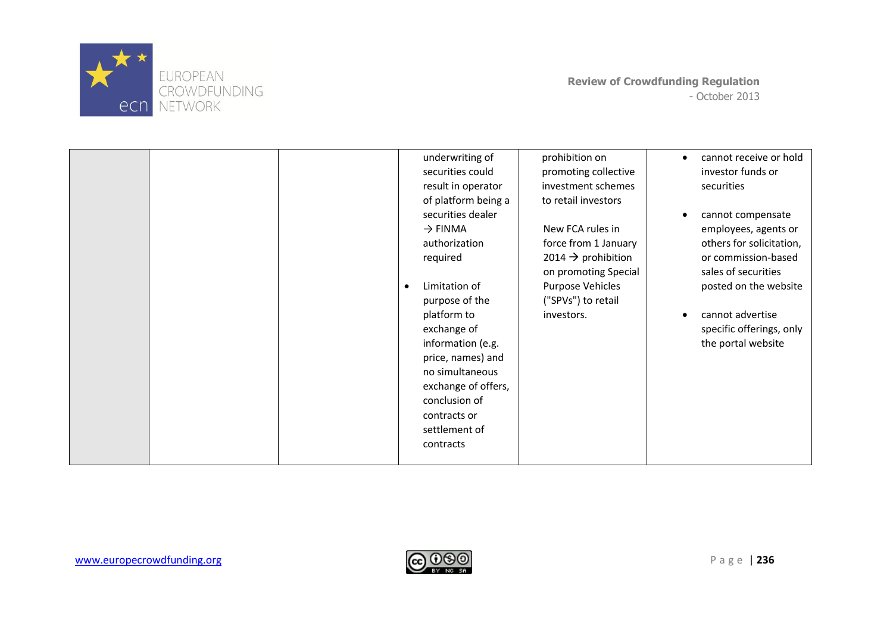

| underwriting of<br>securities could<br>result in operator<br>of platform being a<br>securities dealer<br>$\rightarrow$ FINMA                                                                                                 | prohibition on<br>promoting collective<br>investment schemes<br>to retail investors<br>New FCA rules in               | cannot receive or hold<br>investor funds or<br>securities<br>cannot compensate<br>employees, agents or                                    |
|------------------------------------------------------------------------------------------------------------------------------------------------------------------------------------------------------------------------------|-----------------------------------------------------------------------------------------------------------------------|-------------------------------------------------------------------------------------------------------------------------------------------|
| required<br>Limitation of<br>purpose of the<br>platform to<br>exchange of<br>information (e.g.<br>price, names) and<br>no simultaneous<br>exchange of offers,<br>conclusion of<br>contracts or<br>settlement of<br>contracts | 2014 $\rightarrow$ prohibition<br>on promoting Special<br><b>Purpose Vehicles</b><br>("SPVs") to retail<br>investors. | or commission-based<br>sales of securities<br>posted on the website<br>cannot advertise<br>specific offerings, only<br>the portal website |

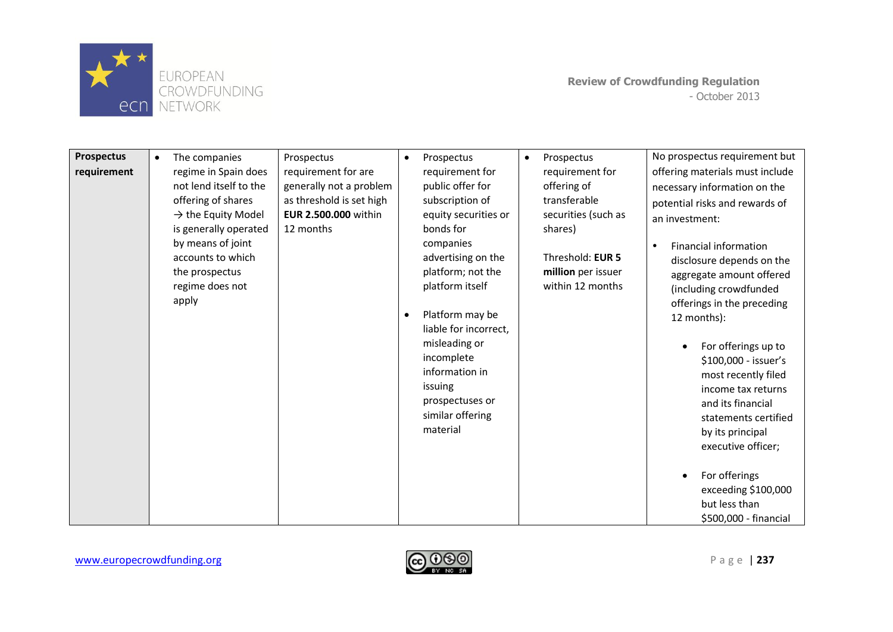

| <b>Prospectus</b> | The companies<br>$\bullet$                                                                                                                                                                                              | Prospectus                                                                                                             | Prospectus<br>$\bullet$                                                                                                                                                                                                                                                                                                                        | Prospectus<br>$\bullet$                                                                                                                        | No prospectus requirement but                                                                                                                                                                                                                                                                                                                                                                                                                                                                                                                            |
|-------------------|-------------------------------------------------------------------------------------------------------------------------------------------------------------------------------------------------------------------------|------------------------------------------------------------------------------------------------------------------------|------------------------------------------------------------------------------------------------------------------------------------------------------------------------------------------------------------------------------------------------------------------------------------------------------------------------------------------------|------------------------------------------------------------------------------------------------------------------------------------------------|----------------------------------------------------------------------------------------------------------------------------------------------------------------------------------------------------------------------------------------------------------------------------------------------------------------------------------------------------------------------------------------------------------------------------------------------------------------------------------------------------------------------------------------------------------|
| requirement       | regime in Spain does<br>not lend itself to the<br>offering of shares<br>$\rightarrow$ the Equity Model<br>is generally operated<br>by means of joint<br>accounts to which<br>the prospectus<br>regime does not<br>apply | requirement for are<br>generally not a problem<br>as threshold is set high<br><b>EUR 2.500.000 within</b><br>12 months | requirement for<br>public offer for<br>subscription of<br>equity securities or<br>bonds for<br>companies<br>advertising on the<br>platform; not the<br>platform itself<br>Platform may be<br>$\bullet$<br>liable for incorrect,<br>misleading or<br>incomplete<br>information in<br>issuing<br>prospectuses or<br>similar offering<br>material | requirement for<br>offering of<br>transferable<br>securities (such as<br>shares)<br>Threshold: EUR 5<br>million per issuer<br>within 12 months | offering materials must include<br>necessary information on the<br>potential risks and rewards of<br>an investment:<br><b>Financial information</b><br>disclosure depends on the<br>aggregate amount offered<br>(including crowdfunded<br>offerings in the preceding<br>12 months):<br>For offerings up to<br>\$100,000 - issuer's<br>most recently filed<br>income tax returns<br>and its financial<br>statements certified<br>by its principal<br>executive officer;<br>For offerings<br>exceeding \$100,000<br>but less than<br>\$500,000 - financial |

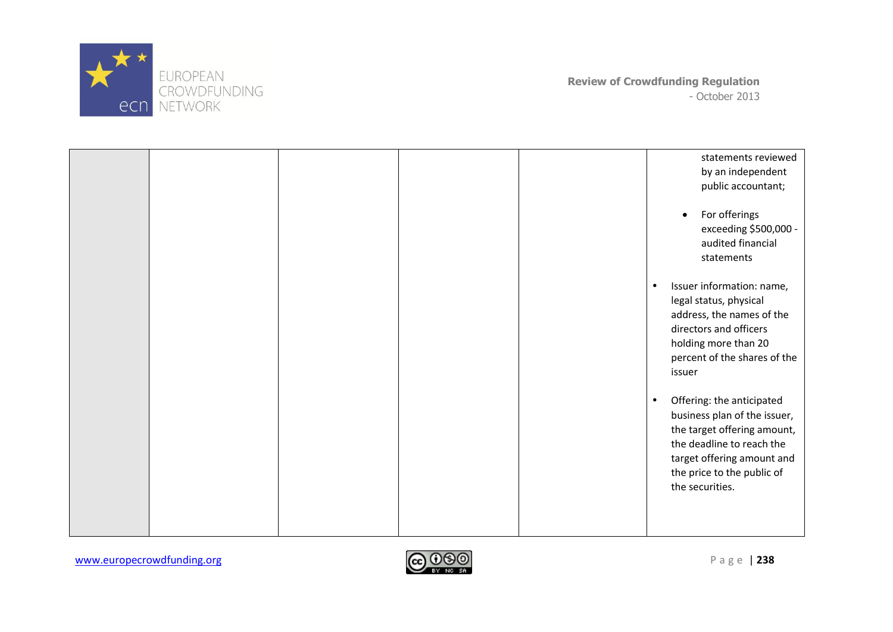

|  |  | statements reviewed<br>by an independent<br>public accountant;<br>For offerings<br>$\bullet$<br>exceeding \$500,000 -<br>audited financial<br>statements                                                          |
|--|--|-------------------------------------------------------------------------------------------------------------------------------------------------------------------------------------------------------------------|
|  |  | Issuer information: name,<br>$\bullet$<br>legal status, physical<br>address, the names of the<br>directors and officers<br>holding more than 20<br>percent of the shares of the<br>issuer                         |
|  |  | Offering: the anticipated<br>$\bullet$<br>business plan of the issuer,<br>the target offering amount,<br>the deadline to reach the<br>target offering amount and<br>the price to the public of<br>the securities. |

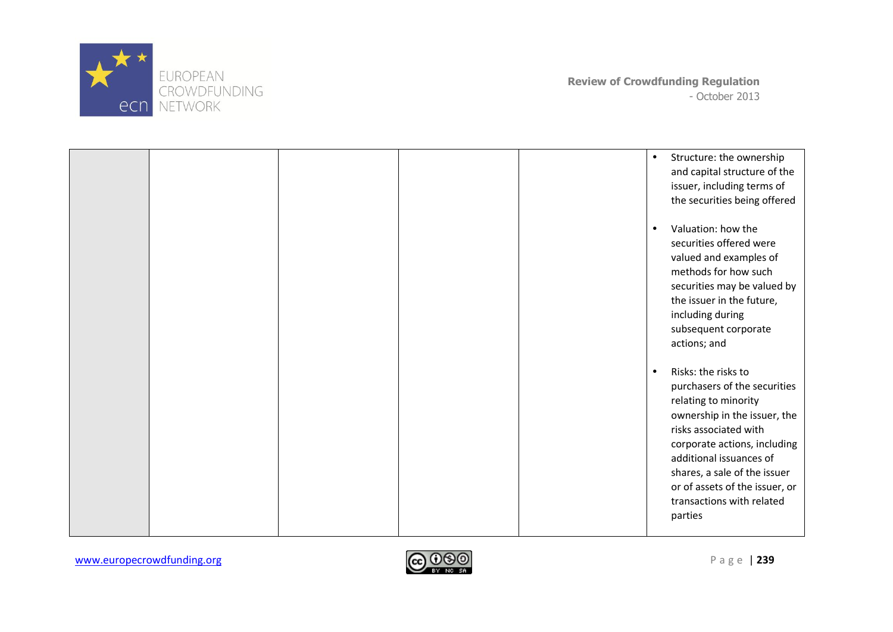

|  |  | Structure: the ownership<br>$\bullet$<br>and capital structure of the<br>issuer, including terms of<br>the securities being offered                                                                                                                                                                                    |
|--|--|------------------------------------------------------------------------------------------------------------------------------------------------------------------------------------------------------------------------------------------------------------------------------------------------------------------------|
|  |  | Valuation: how the<br>$\bullet$<br>securities offered were<br>valued and examples of<br>methods for how such<br>securities may be valued by<br>the issuer in the future,<br>including during<br>subsequent corporate<br>actions; and                                                                                   |
|  |  | Risks: the risks to<br>$\bullet$<br>purchasers of the securities<br>relating to minority<br>ownership in the issuer, the<br>risks associated with<br>corporate actions, including<br>additional issuances of<br>shares, a sale of the issuer<br>or of assets of the issuer, or<br>transactions with related<br>parties |

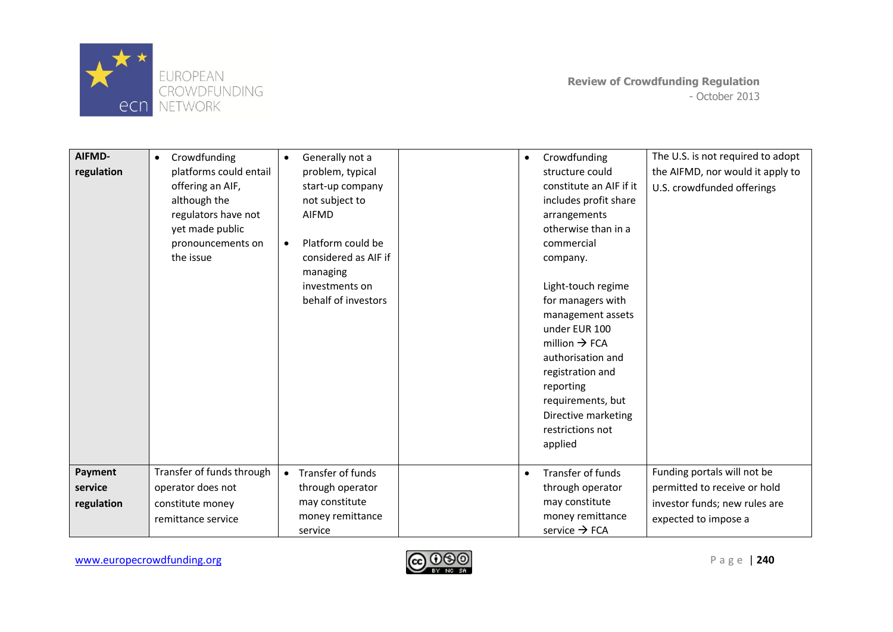

| AIFMD-<br>regulation             | Crowdfunding<br>$\bullet$<br>platforms could entail<br>offering an AIF,<br>although the<br>regulators have not<br>yet made public<br>pronouncements on<br>the issue | Generally not a<br>$\bullet$<br>problem, typical<br>start-up company<br>not subject to<br><b>AIFMD</b><br>Platform could be<br>$\bullet$<br>considered as AIF if<br>managing<br>investments on<br>behalf of investors | $\bullet$ | Crowdfunding<br>structure could<br>constitute an AIF if it<br>includes profit share<br>arrangements<br>otherwise than in a<br>commercial<br>company.<br>Light-touch regime<br>for managers with<br>management assets<br>under EUR 100<br>million $\rightarrow$ FCA<br>authorisation and<br>registration and<br>reporting<br>requirements, but<br>Directive marketing<br>restrictions not<br>applied | The U.S. is not required to adopt<br>the AIFMD, nor would it apply to<br>U.S. crowdfunded offerings                  |
|----------------------------------|---------------------------------------------------------------------------------------------------------------------------------------------------------------------|-----------------------------------------------------------------------------------------------------------------------------------------------------------------------------------------------------------------------|-----------|-----------------------------------------------------------------------------------------------------------------------------------------------------------------------------------------------------------------------------------------------------------------------------------------------------------------------------------------------------------------------------------------------------|----------------------------------------------------------------------------------------------------------------------|
|                                  |                                                                                                                                                                     |                                                                                                                                                                                                                       |           |                                                                                                                                                                                                                                                                                                                                                                                                     |                                                                                                                      |
| Payment<br>service<br>regulation | Transfer of funds through<br>operator does not<br>constitute money<br>remittance service                                                                            | Transfer of funds<br>$\bullet$<br>through operator<br>may constitute<br>money remittance                                                                                                                              | $\bullet$ | Transfer of funds<br>through operator<br>may constitute<br>money remittance                                                                                                                                                                                                                                                                                                                         | Funding portals will not be<br>permitted to receive or hold<br>investor funds; new rules are<br>expected to impose a |
|                                  |                                                                                                                                                                     | service                                                                                                                                                                                                               |           | service $\rightarrow$ FCA                                                                                                                                                                                                                                                                                                                                                                           |                                                                                                                      |

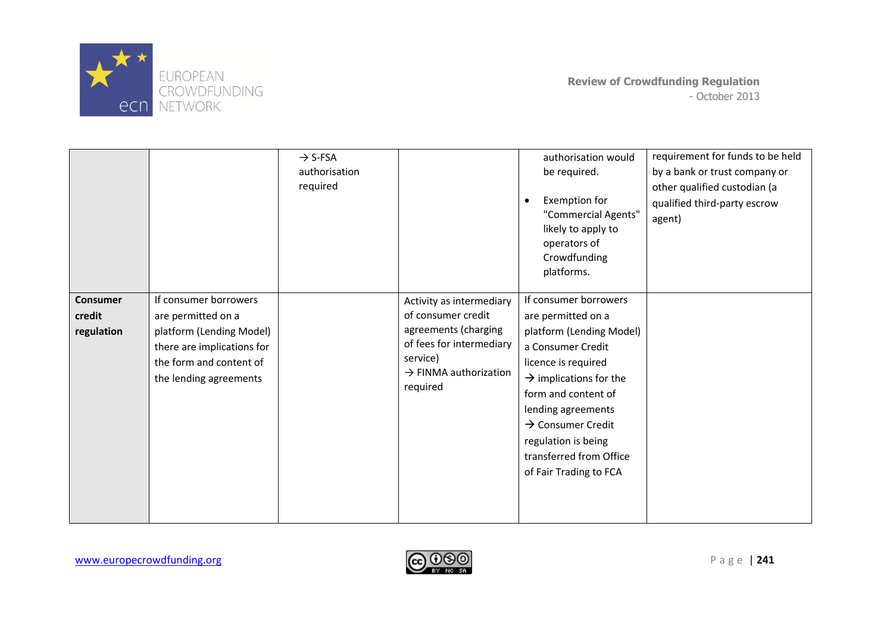

|                                         |                                                                                                                                                            | $\rightarrow$ S-FSA<br>authorisation<br>required |                                                                                                                                                                 | authorisation would<br>be required.<br>Exemption for<br>"Commercial Agents"<br>likely to apply to<br>operators of<br>Crowdfunding<br>platforms.                                                                                                                                                                     | requirement for funds to be held<br>by a bank or trust company or<br>other qualified custodian (a<br>qualified third-party escrow<br>agent) |
|-----------------------------------------|------------------------------------------------------------------------------------------------------------------------------------------------------------|--------------------------------------------------|-----------------------------------------------------------------------------------------------------------------------------------------------------------------|---------------------------------------------------------------------------------------------------------------------------------------------------------------------------------------------------------------------------------------------------------------------------------------------------------------------|---------------------------------------------------------------------------------------------------------------------------------------------|
| <b>Consumer</b><br>credit<br>regulation | If consumer borrowers<br>are permitted on a<br>platform (Lending Model)<br>there are implications for<br>the form and content of<br>the lending agreements |                                                  | Activity as intermediary<br>of consumer credit<br>agreements (charging<br>of fees for intermediary<br>service)<br>$\rightarrow$ FINMA authorization<br>required | If consumer borrowers<br>are permitted on a<br>platform (Lending Model)<br>a Consumer Credit<br>licence is required<br>$\rightarrow$ implications for the<br>form and content of<br>lending agreements<br>$\rightarrow$ Consumer Credit<br>regulation is being<br>transferred from Office<br>of Fair Trading to FCA |                                                                                                                                             |

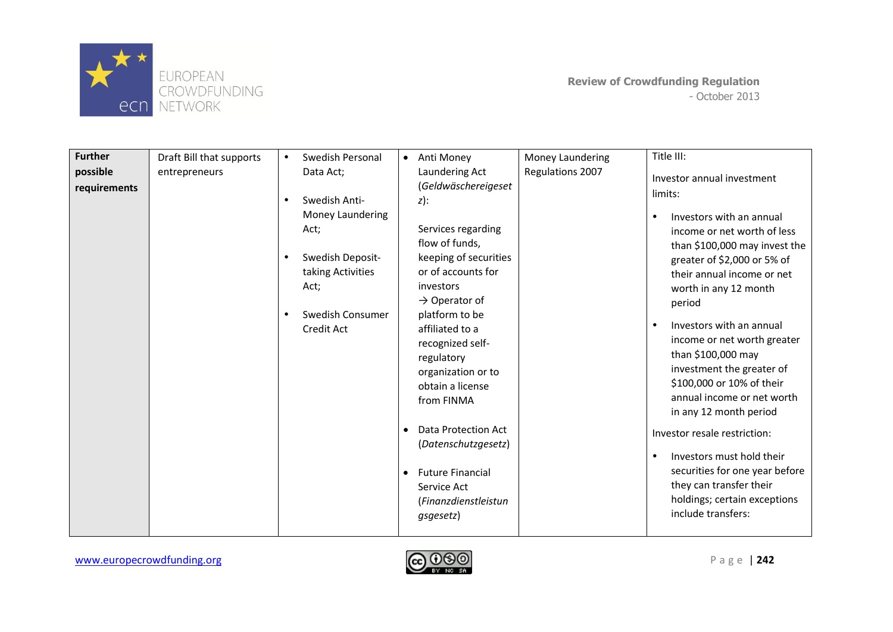

| <b>Further</b>           | Draft Bill that supports | Swedish Personal                                                                                                                               | • Anti Money                                                                                                                                                                                                                                                                                                                                                                                                                                 | Title III:<br>Money Laundering                                                                                                                                                                                                                                                                                                                                                                                                                                                                                                                                                                                                           |
|--------------------------|--------------------------|------------------------------------------------------------------------------------------------------------------------------------------------|----------------------------------------------------------------------------------------------------------------------------------------------------------------------------------------------------------------------------------------------------------------------------------------------------------------------------------------------------------------------------------------------------------------------------------------------|------------------------------------------------------------------------------------------------------------------------------------------------------------------------------------------------------------------------------------------------------------------------------------------------------------------------------------------------------------------------------------------------------------------------------------------------------------------------------------------------------------------------------------------------------------------------------------------------------------------------------------------|
| possible<br>requirements | entrepreneurs            | Data Act;<br>Swedish Anti-<br>Money Laundering<br>Act;<br>Swedish Deposit-<br>taking Activities<br>Act;<br>Swedish Consumer<br>٠<br>Credit Act | Laundering Act<br>(Geldwäschereigeset<br>$z)$ :<br>Services regarding<br>flow of funds,<br>keeping of securities<br>or of accounts for<br>investors<br>$\rightarrow$ Operator of<br>platform to be<br>affiliated to a<br>recognized self-<br>regulatory<br>organization or to<br>obtain a license<br>from FINMA<br>Data Protection Act<br>(Datenschutzgesetz)<br><b>Future Financial</b><br>$\bullet$<br>Service Act<br>(Finanzdienstleistun | Regulations 2007<br>Investor annual investment<br>limits:<br>Investors with an annual<br>income or net worth of less<br>than \$100,000 may invest the<br>greater of \$2,000 or 5% of<br>their annual income or net<br>worth in any 12 month<br>period<br>Investors with an annual<br>income or net worth greater<br>than \$100,000 may<br>investment the greater of<br>\$100,000 or 10% of their<br>annual income or net worth<br>in any 12 month period<br>Investor resale restriction:<br>Investors must hold their<br>securities for one year before<br>they can transfer their<br>holdings; certain exceptions<br>include transfers: |

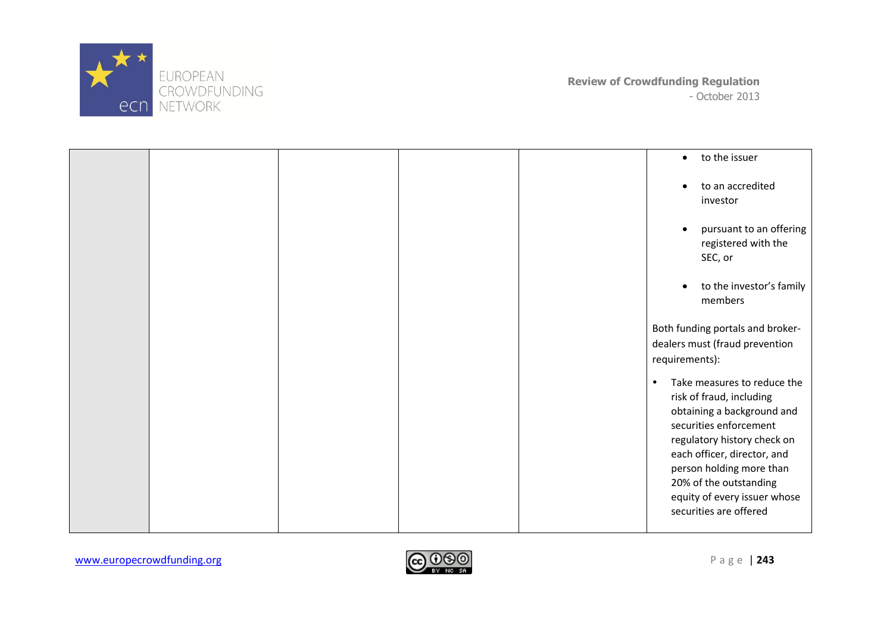

|  |  | to the issuer<br>$\bullet$                                                                                                                                                                                                                                                                                 |
|--|--|------------------------------------------------------------------------------------------------------------------------------------------------------------------------------------------------------------------------------------------------------------------------------------------------------------|
|  |  | to an accredited<br>investor                                                                                                                                                                                                                                                                               |
|  |  | pursuant to an offering<br>registered with the<br>SEC, or                                                                                                                                                                                                                                                  |
|  |  | to the investor's family<br>members                                                                                                                                                                                                                                                                        |
|  |  | Both funding portals and broker-<br>dealers must (fraud prevention<br>requirements):                                                                                                                                                                                                                       |
|  |  | Take measures to reduce the<br>$\bullet$<br>risk of fraud, including<br>obtaining a background and<br>securities enforcement<br>regulatory history check on<br>each officer, director, and<br>person holding more than<br>20% of the outstanding<br>equity of every issuer whose<br>securities are offered |

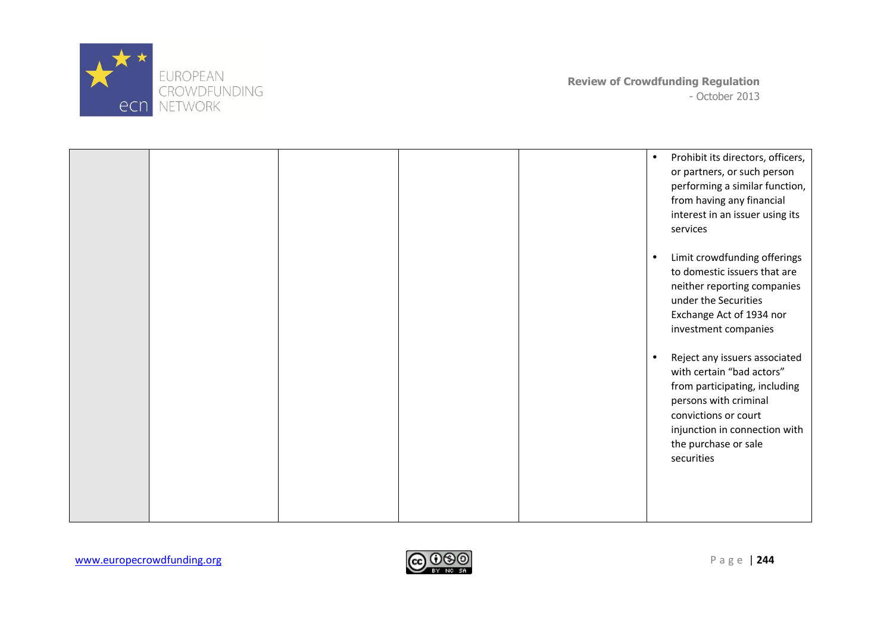

|  |  | $\bullet$ | Prohibit its directors, officers,<br>or partners, or such person<br>performing a similar function,<br>from having any financial<br>interest in an issuer using its<br>services                                      |
|--|--|-----------|---------------------------------------------------------------------------------------------------------------------------------------------------------------------------------------------------------------------|
|  |  | $\bullet$ | Limit crowdfunding offerings<br>to domestic issuers that are<br>neither reporting companies<br>under the Securities<br>Exchange Act of 1934 nor<br>investment companies                                             |
|  |  |           | Reject any issuers associated<br>with certain "bad actors"<br>from participating, including<br>persons with criminal<br>convictions or court<br>injunction in connection with<br>the purchase or sale<br>securities |

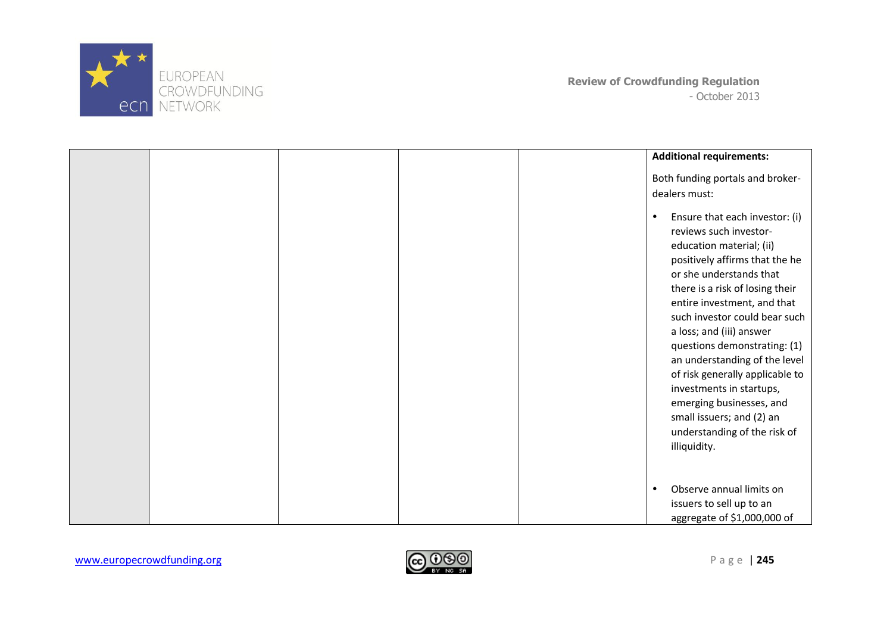

|  |  | <b>Additional requirements:</b>                                                                                                                                                                                                                                                                                                                                                                                                                                                                                           |
|--|--|---------------------------------------------------------------------------------------------------------------------------------------------------------------------------------------------------------------------------------------------------------------------------------------------------------------------------------------------------------------------------------------------------------------------------------------------------------------------------------------------------------------------------|
|  |  | Both funding portals and broker-<br>dealers must:                                                                                                                                                                                                                                                                                                                                                                                                                                                                         |
|  |  | Ensure that each investor: (i)<br>reviews such investor-<br>education material; (ii)<br>positively affirms that the he<br>or she understands that<br>there is a risk of losing their<br>entire investment, and that<br>such investor could bear such<br>a loss; and (iii) answer<br>questions demonstrating: (1)<br>an understanding of the level<br>of risk generally applicable to<br>investments in startups,<br>emerging businesses, and<br>small issuers; and (2) an<br>understanding of the risk of<br>illiquidity. |
|  |  | Observe annual limits on<br>$\bullet$<br>issuers to sell up to an<br>aggregate of \$1,000,000 of                                                                                                                                                                                                                                                                                                                                                                                                                          |